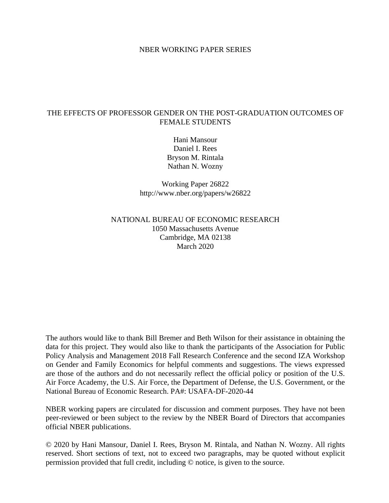### NBER WORKING PAPER SERIES

## THE EFFECTS OF PROFESSOR GENDER ON THE POST-GRADUATION OUTCOMES OF FEMALE STUDENTS

Hani Mansour Daniel I. Rees Bryson M. Rintala Nathan N. Wozny

Working Paper 26822 http://www.nber.org/papers/w26822

# NATIONAL BUREAU OF ECONOMIC RESEARCH 1050 Massachusetts Avenue Cambridge, MA 02138 March 2020

The authors would like to thank Bill Bremer and Beth Wilson for their assistance in obtaining the data for this project. They would also like to thank the participants of the Association for Public Policy Analysis and Management 2018 Fall Research Conference and the second IZA Workshop on Gender and Family Economics for helpful comments and suggestions. The views expressed are those of the authors and do not necessarily reflect the official policy or position of the U.S. Air Force Academy, the U.S. Air Force, the Department of Defense, the U.S. Government, or the National Bureau of Economic Research. PA#: USAFA-DF-2020-44

NBER working papers are circulated for discussion and comment purposes. They have not been peer-reviewed or been subject to the review by the NBER Board of Directors that accompanies official NBER publications.

© 2020 by Hani Mansour, Daniel I. Rees, Bryson M. Rintala, and Nathan N. Wozny. All rights reserved. Short sections of text, not to exceed two paragraphs, may be quoted without explicit permission provided that full credit, including © notice, is given to the source.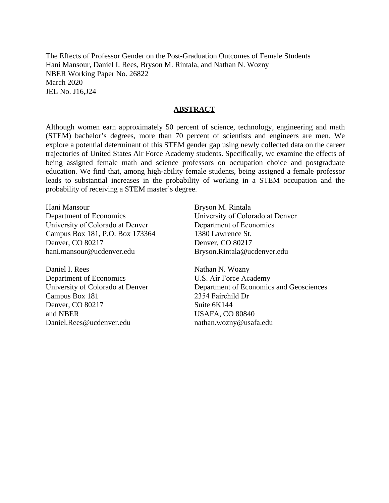The Effects of Professor Gender on the Post-Graduation Outcomes of Female Students Hani Mansour, Daniel I. Rees, Bryson M. Rintala, and Nathan N. Wozny NBER Working Paper No. 26822 March 2020 JEL No. J16,J24

#### **ABSTRACT**

Although women earn approximately 50 percent of science, technology, engineering and math (STEM) bachelor's degrees, more than 70 percent of scientists and engineers are men. We explore a potential determinant of this STEM gender gap using newly collected data on the career trajectories of United States Air Force Academy students. Specifically, we examine the effects of being assigned female math and science professors on occupation choice and postgraduate education. We find that, among high-ability female students, being assigned a female professor leads to substantial increases in the probability of working in a STEM occupation and the probability of receiving a STEM master's degree.

Hani Mansour Department of Economics University of Colorado at Denver Campus Box 181, P.O. Box 173364 Denver, CO 80217 hani.mansour@ucdenver.edu

Daniel I. Rees Department of Economics University of Colorado at Denver Campus Box 181 Denver, CO 80217 and NBER Daniel.Rees@ucdenver.edu

Bryson M. Rintala University of Colorado at Denver Department of Economics 1380 Lawrence St. Denver, CO 80217 Bryson.Rintala@ucdenver.edu

Nathan N. Wozny U.S. Air Force Academy Department of Economics and Geosciences 2354 Fairchild Dr Suite 6K144 USAFA, CO 80840 nathan.wozny@usafa.edu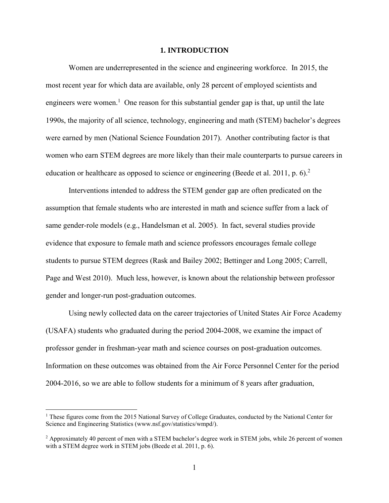#### **1. INTRODUCTION**

Women are underrepresented in the science and engineering workforce. In 2015, the most recent year for which data are available, only 28 percent of employed scientists and engineers were women.<sup>1</sup> One reason for this substantial gender gap is that, up until the late 1990s, the majority of all science, technology, engineering and math (STEM) bachelor's degrees were earned by men (National Science Foundation 2017). Another contributing factor is that women who earn STEM degrees are more likely than their male counterparts to pursue careers in education or healthcare as opposed to science or engineering (Beede et al. 2011, p. 6).<sup>2</sup>

Interventions intended to address the STEM gender gap are often predicated on the assumption that female students who are interested in math and science suffer from a lack of same gender-role models (e.g., Handelsman et al. 2005). In fact, several studies provide evidence that exposure to female math and science professors encourages female college students to pursue STEM degrees (Rask and Bailey 2002; Bettinger and Long 2005; Carrell, Page and West 2010). Much less, however, is known about the relationship between professor gender and longer-run post-graduation outcomes.

Using newly collected data on the career trajectories of United States Air Force Academy (USAFA) students who graduated during the period 2004-2008, we examine the impact of professor gender in freshman-year math and science courses on post-graduation outcomes. Information on these outcomes was obtained from the Air Force Personnel Center for the period 2004-2016, so we are able to follow students for a minimum of 8 years after graduation,

 $\overline{\phantom{a}}$ 

 $1$  These figures come from the 2015 National Survey of College Graduates, conducted by the National Center for Science and Engineering Statistics (www.nsf.gov/statistics/wmpd/).

<sup>&</sup>lt;sup>2</sup> Approximately 40 percent of men with a STEM bachelor's degree work in STEM jobs, while 26 percent of women with a STEM degree work in STEM jobs (Beede et al. 2011, p. 6).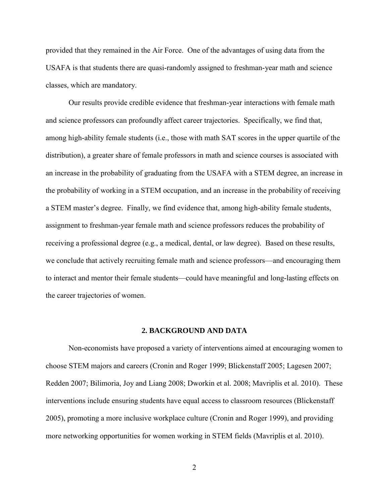provided that they remained in the Air Force. One of the advantages of using data from the USAFA is that students there are quasi-randomly assigned to freshman-year math and science classes, which are mandatory.

Our results provide credible evidence that freshman-year interactions with female math and science professors can profoundly affect career trajectories. Specifically, we find that, among high-ability female students (i.e., those with math SAT scores in the upper quartile of the distribution), a greater share of female professors in math and science courses is associated with an increase in the probability of graduating from the USAFA with a STEM degree, an increase in the probability of working in a STEM occupation, and an increase in the probability of receiving a STEM master's degree. Finally, we find evidence that, among high-ability female students, assignment to freshman-year female math and science professors reduces the probability of receiving a professional degree (e.g., a medical, dental, or law degree). Based on these results, we conclude that actively recruiting female math and science professors—and encouraging them to interact and mentor their female students—could have meaningful and long-lasting effects on the career trajectories of women.

#### **2. BACKGROUND AND DATA**

Non-economists have proposed a variety of interventions aimed at encouraging women to choose STEM majors and careers (Cronin and Roger 1999; Blickenstaff 2005; Lagesen 2007; Redden 2007; Bilimoria, Joy and Liang 2008; Dworkin et al. 2008; Mavriplis et al. 2010). These interventions include ensuring students have equal access to classroom resources (Blickenstaff 2005), promoting a more inclusive workplace culture (Cronin and Roger 1999), and providing more networking opportunities for women working in STEM fields (Mavriplis et al. 2010).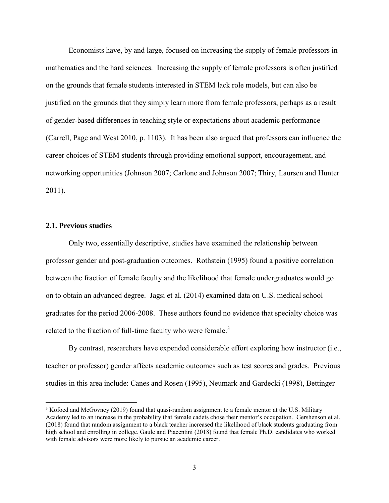Economists have, by and large, focused on increasing the supply of female professors in mathematics and the hard sciences. Increasing the supply of female professors is often justified on the grounds that female students interested in STEM lack role models, but can also be justified on the grounds that they simply learn more from female professors, perhaps as a result of gender-based differences in teaching style or expectations about academic performance (Carrell, Page and West 2010, p. 1103). It has been also argued that professors can influence the career choices of STEM students through providing emotional support, encouragement, and networking opportunities (Johnson 2007; Carlone and Johnson 2007; Thiry, Laursen and Hunter 2011).

### **2.1. Previous studies**

 $\overline{\phantom{a}}$ 

Only two, essentially descriptive, studies have examined the relationship between professor gender and post-graduation outcomes. Rothstein (1995) found a positive correlation between the fraction of female faculty and the likelihood that female undergraduates would go on to obtain an advanced degree. Jagsi et al. (2014) examined data on U.S. medical school graduates for the period 2006-2008. These authors found no evidence that specialty choice was related to the fraction of full-time faculty who were female. $3$ 

By contrast, researchers have expended considerable effort exploring how instructor (i.e., teacher or professor) gender affects academic outcomes such as test scores and grades. Previous studies in this area include: Canes and Rosen (1995), Neumark and Gardecki (1998), Bettinger

<sup>&</sup>lt;sup>3</sup> Kofoed and McGovney (2019) found that quasi-random assignment to a female mentor at the U.S. Military Academy led to an increase in the probability that female cadets chose their mentor's occupation. Gershenson et al. (2018) found that random assignment to a black teacher increased the likelihood of black students graduating from high school and enrolling in college. Gaule and Piacentini (2018) found that female Ph.D. candidates who worked with female advisors were more likely to pursue an academic career.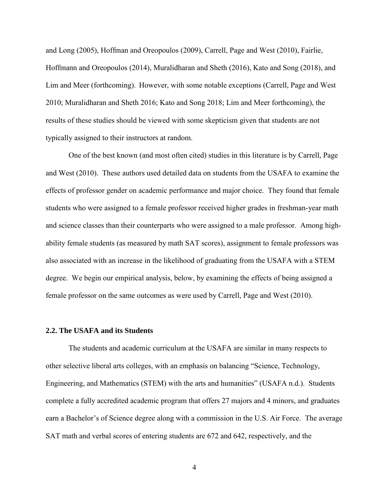and Long (2005), Hoffman and Oreopoulos (2009), Carrell, Page and West (2010), Fairlie, Hoffmann and Oreopoulos (2014), Muralidharan and Sheth (2016), Kato and Song (2018), and Lim and Meer (forthcoming). However, with some notable exceptions (Carrell, Page and West 2010; Muralidharan and Sheth 2016; Kato and Song 2018; Lim and Meer forthcoming), the results of these studies should be viewed with some skepticism given that students are not typically assigned to their instructors at random.

One of the best known (and most often cited) studies in this literature is by Carrell, Page and West (2010). These authors used detailed data on students from the USAFA to examine the effects of professor gender on academic performance and major choice. They found that female students who were assigned to a female professor received higher grades in freshman-year math and science classes than their counterparts who were assigned to a male professor. Among highability female students (as measured by math SAT scores), assignment to female professors was also associated with an increase in the likelihood of graduating from the USAFA with a STEM degree. We begin our empirical analysis, below, by examining the effects of being assigned a female professor on the same outcomes as were used by Carrell, Page and West (2010).

#### **2.2. The USAFA and its Students**

The students and academic curriculum at the USAFA are similar in many respects to other selective liberal arts colleges, with an emphasis on balancing "Science, Technology, Engineering, and Mathematics (STEM) with the arts and humanities" (USAFA n.d.). Students complete a fully accredited academic program that offers 27 majors and 4 minors, and graduates earn a Bachelor's of Science degree along with a commission in the U.S. Air Force. The average SAT math and verbal scores of entering students are 672 and 642, respectively, and the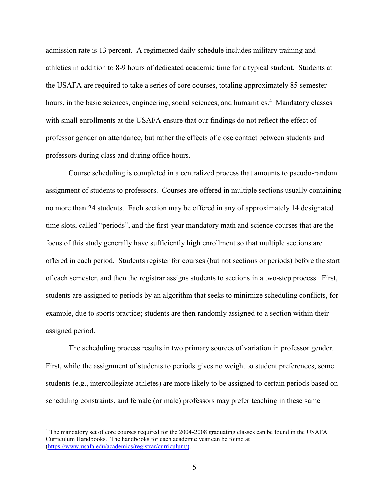admission rate is 13 percent. A regimented daily schedule includes military training and athletics in addition to 8-9 hours of dedicated academic time for a typical student. Students at the USAFA are required to take a series of core courses, totaling approximately 85 semester hours, in the basic sciences, engineering, social sciences, and humanities.<sup>4</sup> Mandatory classes with small enrollments at the USAFA ensure that our findings do not reflect the effect of professor gender on attendance, but rather the effects of close contact between students and professors during class and during office hours.

Course scheduling is completed in a centralized process that amounts to pseudo-random assignment of students to professors. Courses are offered in multiple sections usually containing no more than 24 students. Each section may be offered in any of approximately 14 designated time slots, called "periods", and the first-year mandatory math and science courses that are the focus of this study generally have sufficiently high enrollment so that multiple sections are offered in each period. Students register for courses (but not sections or periods) before the start of each semester, and then the registrar assigns students to sections in a two-step process. First, students are assigned to periods by an algorithm that seeks to minimize scheduling conflicts, for example, due to sports practice; students are then randomly assigned to a section within their assigned period.

The scheduling process results in two primary sources of variation in professor gender. First, while the assignment of students to periods gives no weight to student preferences, some students (e.g., intercollegiate athletes) are more likely to be assigned to certain periods based on scheduling constraints, and female (or male) professors may prefer teaching in these same

 $\overline{a}$ 

<sup>4</sup> The mandatory set of core courses required for the 2004-2008 graduating classes can be found in the USAFA Curriculum Handbooks. The handbooks for each academic year can be found at [\(https://www.usafa.edu/academics/registrar/curriculum/\)](https://www.usafa.edu/academics/registrar/curriculum/).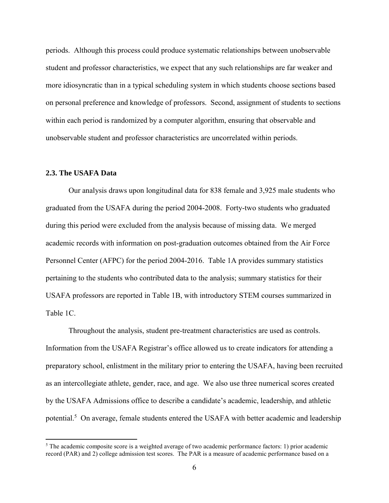periods. Although this process could produce systematic relationships between unobservable student and professor characteristics, we expect that any such relationships are far weaker and more idiosyncratic than in a typical scheduling system in which students choose sections based on personal preference and knowledge of professors. Second, assignment of students to sections within each period is randomized by a computer algorithm, ensuring that observable and unobservable student and professor characteristics are uncorrelated within periods.

### **2.3. The USAFA Data**

 $\overline{a}$ 

Our analysis draws upon longitudinal data for 838 female and 3,925 male students who graduated from the USAFA during the period 2004-2008. Forty-two students who graduated during this period were excluded from the analysis because of missing data. We merged academic records with information on post-graduation outcomes obtained from the Air Force Personnel Center (AFPC) for the period 2004-2016. Table 1A provides summary statistics pertaining to the students who contributed data to the analysis; summary statistics for their USAFA professors are reported in Table 1B, with introductory STEM courses summarized in Table 1C.

Throughout the analysis, student pre-treatment characteristics are used as controls. Information from the USAFA Registrar's office allowed us to create indicators for attending a preparatory school, enlistment in the military prior to entering the USAFA, having been recruited as an intercollegiate athlete, gender, race, and age. We also use three numerical scores created by the USAFA Admissions office to describe a candidate's academic, leadership, and athletic potential.<sup>5</sup> On average, female students entered the USAFA with better academic and leadership

<sup>&</sup>lt;sup>5</sup> The academic composite score is a weighted average of two academic performance factors: 1) prior academic record (PAR) and 2) college admission test scores. The PAR is a measure of academic performance based on a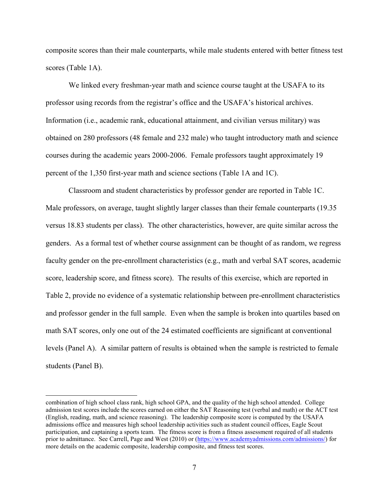composite scores than their male counterparts, while male students entered with better fitness test scores (Table 1A).

We linked every freshman-year math and science course taught at the USAFA to its professor using records from the registrar's office and the USAFA's historical archives. Information (i.e., academic rank, educational attainment, and civilian versus military) was obtained on 280 professors (48 female and 232 male) who taught introductory math and science courses during the academic years 2000-2006. Female professors taught approximately 19 percent of the 1,350 first-year math and science sections (Table 1A and 1C).

Classroom and student characteristics by professor gender are reported in Table 1C. Male professors, on average, taught slightly larger classes than their female counterparts (19.35 versus 18.83 students per class). The other characteristics, however, are quite similar across the genders. As a formal test of whether course assignment can be thought of as random, we regress faculty gender on the pre-enrollment characteristics (e.g., math and verbal SAT scores, academic score, leadership score, and fitness score). The results of this exercise, which are reported in Table 2, provide no evidence of a systematic relationship between pre-enrollment characteristics and professor gender in the full sample. Even when the sample is broken into quartiles based on math SAT scores, only one out of the 24 estimated coefficients are significant at conventional levels (Panel A). A similar pattern of results is obtained when the sample is restricted to female students (Panel B).

 $\overline{a}$ 

combination of high school class rank, high school GPA, and the quality of the high school attended. College admission test scores include the scores earned on either the SAT Reasoning test (verbal and math) or the ACT test (English, reading, math, and science reasoning). The leadership composite score is computed by the USAFA admissions office and measures high school leadership activities such as student council offices, Eagle Scout participation, and captaining a sports team. The fitness score is from a fitness assessment required of all students prior to admittance. See Carrell, Page and West (2010) or [\(https://www.academyadmissions.com/admissions/\)](https://www.academyadmissions.com/admissions/) for more details on the academic composite, leadership composite, and fitness test scores.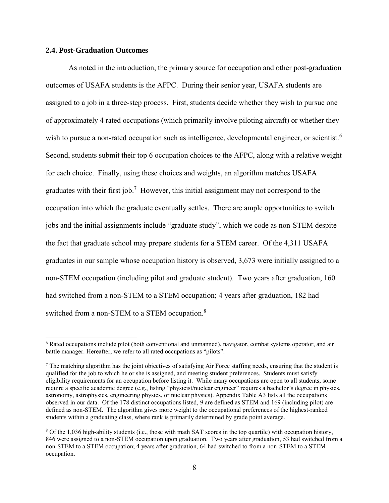### **2.4. Post-Graduation Outcomes**

 $\overline{\phantom{a}}$ 

As noted in the introduction, the primary source for occupation and other post-graduation outcomes of USAFA students is the AFPC. During their senior year, USAFA students are assigned to a job in a three-step process. First, students decide whether they wish to pursue one of approximately 4 rated occupations (which primarily involve piloting aircraft) or whether they wish to pursue a non-rated occupation such as intelligence, developmental engineer, or scientist.<sup>6</sup> Second, students submit their top 6 occupation choices to the AFPC, along with a relative weight for each choice. Finally, using these choices and weights, an algorithm matches USAFA graduates with their first job.<sup>7</sup> However, this initial assignment may not correspond to the occupation into which the graduate eventually settles. There are ample opportunities to switch jobs and the initial assignments include "graduate study", which we code as non-STEM despite the fact that graduate school may prepare students for a STEM career. Of the 4,311 USAFA graduates in our sample whose occupation history is observed, 3,673 were initially assigned to a non-STEM occupation (including pilot and graduate student). Two years after graduation, 160 had switched from a non-STEM to a STEM occupation; 4 years after graduation, 182 had switched from a non-STEM to a STEM occupation.<sup>8</sup>

<sup>6</sup> Rated occupations include pilot (both conventional and unmanned), navigator, combat systems operator, and air battle manager. Hereafter, we refer to all rated occupations as "pilots".

<sup>7</sup> The matching algorithm has the joint objectives of satisfying Air Force staffing needs, ensuring that the student is qualified for the job to which he or she is assigned, and meeting student preferences. Students must satisfy eligibility requirements for an occupation before listing it. While many occupations are open to all students, some require a specific academic degree (e.g., listing "physicist/nuclear engineer" requires a bachelor's degree in physics, astronomy, astrophysics, engineering physics, or nuclear physics). Appendix Table A3 lists all the occupations observed in our data. Of the 178 distinct occupations listed, 9 are defined as STEM and 169 (including pilot) are defined as non-STEM. The algorithm gives more weight to the occupational preferences of the highest-ranked students within a graduating class, where rank is primarily determined by grade point average.

<sup>8</sup> Of the 1,036 high-ability students (i.e., those with math SAT scores in the top quartile) with occupation history, 846 were assigned to a non-STEM occupation upon graduation. Two years after graduation, 53 had switched from a non-STEM to a STEM occupation; 4 years after graduation, 64 had switched to from a non-STEM to a STEM occupation.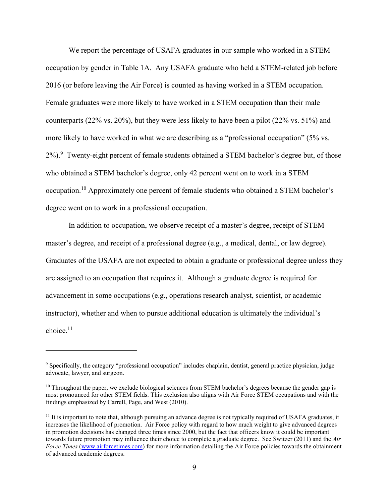We report the percentage of USAFA graduates in our sample who worked in a STEM occupation by gender in Table 1A. Any USAFA graduate who held a STEM-related job before 2016 (or before leaving the Air Force) is counted as having worked in a STEM occupation. Female graduates were more likely to have worked in a STEM occupation than their male counterparts (22% vs. 20%), but they were less likely to have been a pilot (22% vs. 51%) and more likely to have worked in what we are describing as a "professional occupation" (5% vs. 2%).<sup>9</sup> Twenty-eight percent of female students obtained a STEM bachelor's degree but, of those who obtained a STEM bachelor's degree, only 42 percent went on to work in a STEM occupation.<sup>10</sup> Approximately one percent of female students who obtained a STEM bachelor's degree went on to work in a professional occupation.

In addition to occupation, we observe receipt of a master's degree, receipt of STEM master's degree, and receipt of a professional degree (e.g., a medical, dental, or law degree). Graduates of the USAFA are not expected to obtain a graduate or professional degree unless they are assigned to an occupation that requires it. Although a graduate degree is required for advancement in some occupations (e.g., operations research analyst, scientist, or academic instructor), whether and when to pursue additional education is ultimately the individual's choice.<sup>11</sup>

 $\overline{\phantom{a}}$ 

<sup>9</sup> Specifically, the category "professional occupation" includes chaplain, dentist, general practice physician, judge advocate, lawyer, and surgeon.

<sup>&</sup>lt;sup>10</sup> Throughout the paper, we exclude biological sciences from STEM bachelor's degrees because the gender gap is most pronounced for other STEM fields. This exclusion also aligns with Air Force STEM occupations and with the findings emphasized by Carrell, Page, and West (2010).

 $11$  It is important to note that, although pursuing an advance degree is not typically required of USAFA graduates, it increases the likelihood of promotion. Air Force policy with regard to how much weight to give advanced degrees in promotion decisions has changed three times since 2000, but the fact that officers know it could be important towards future promotion may influence their choice to complete a graduate degree. See [Switzer](http://switzer/) (2011) and the *Air Force Times* [\(www.airforcetimes.com\)](http://www.airforcetimes.com/) for more information detailing the Air Force policies towards the obtainment of advanced academic degrees.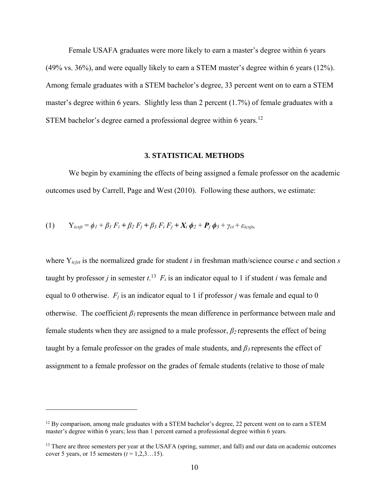Female USAFA graduates were more likely to earn a master's degree within 6 years (49% vs. 36%), and were equally likely to earn a STEM master's degree within 6 years (12%). Among female graduates with a STEM bachelor's degree, 33 percent went on to earn a STEM master's degree within 6 years. Slightly less than 2 percent (1.7%) of female graduates with a STEM bachelor's degree earned a professional degree within 6 years.<sup>12</sup>

#### **3. STATISTICAL METHODS**

We begin by examining the effects of being assigned a female professor on the academic outcomes used by Carrell, Page and West (2010). Following these authors, we estimate:

(1) 
$$
Y_{icsjt} = \phi_1 + \beta_1 F_i + \beta_2 F_j + \beta_3 F_i F_j + X_i \phi_2 + P_j \phi_3 + \gamma_{ct} + \varepsilon_{icsjt},
$$

 $\overline{\phantom{a}}$ 

where Y*icjst* is the normalized grade for student *i* in freshman math/science course *c* and section *s* taught by professor *j* in semester  $t$ .<sup>13</sup>  $F_i$  is an indicator equal to 1 if student *i* was female and equal to 0 otherwise.  $F_j$  is an indicator equal to 1 if professor *j* was female and equal to 0 otherwise. The coefficient *β1* represents the mean difference in performance between male and female students when they are assigned to a male professor, *β2* represents the effect of being taught by a female professor on the grades of male students, and *β3* represents the effect of assignment to a female professor on the grades of female students (relative to those of male

<sup>&</sup>lt;sup>12</sup> By comparison, among male graduates with a STEM bachelor's degree, 22 percent went on to earn a STEM master's degree within 6 years; less than 1 percent earned a professional degree within 6 years.

<sup>&</sup>lt;sup>13</sup> There are three semesters per year at the USAFA (spring, summer, and fall) and our data on academic outcomes cover 5 years, or 15 semesters  $(t = 1, 2, 3...15)$ .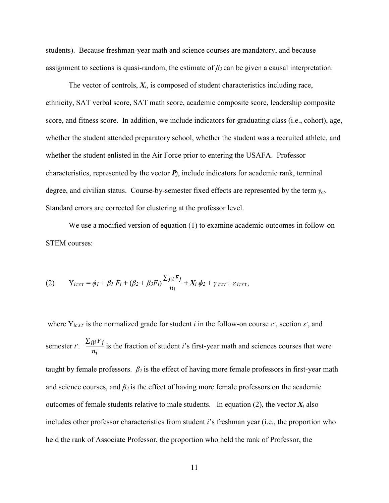students). Because freshman-year math and science courses are mandatory, and because assignment to sections is quasi-random, the estimate of *β3* can be given a causal interpretation.

The vector of controls,  $X_i$ , is composed of student characteristics including race, ethnicity, SAT verbal score, SAT math score, academic composite score, leadership composite score, and fitness score. In addition, we include indicators for graduating class (i.e., cohort), age, whether the student attended preparatory school, whether the student was a recruited athlete, and whether the student enlisted in the Air Force prior to entering the USAFA. Professor characteristics, represented by the vector  $P_j$ , include indicators for academic rank, terminal degree, and civilian status. Course-by-semester fixed effects are represented by the term *γct*. Standard errors are corrected for clustering at the professor level.

We use a modified version of equation (1) to examine academic outcomes in follow-on STEM courses:

(2) 
$$
Y_{ic's't} = \phi_I + \beta_I F_i + (\beta_2 + \beta_3 F_i) \frac{\sum_{j\mid i} F_j}{n_i} + X_i \phi_2 + \gamma_{c's't} + \varepsilon_{ic's't},
$$

where  $Y_{ic's't}$  is the normalized grade for student *i* in the follow-on course  $c'$ , section  $s'$ , and semester *t'*.  $\frac{\sum_{j|i} F_j}{\sum_{i,j} F_j}$  $n_i$ is the fraction of student *i*'s first-year math and sciences courses that were taught by female professors. *β2* is the effect of having more female professors in first-year math and science courses, and *β3* is the effect of having more female professors on the academic outcomes of female students relative to male students. In equation  $(2)$ , the vector  $X_i$  also includes other professor characteristics from student *i*'s freshman year (i.e., the proportion who held the rank of Associate Professor, the proportion who held the rank of Professor, the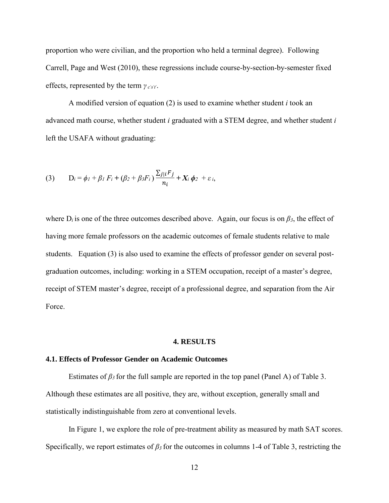proportion who were civilian, and the proportion who held a terminal degree). Following Carrell, Page and West (2010), these regressions include course-by-section-by-semester fixed effects, represented by the term *γ <sup>c</sup>'s't'*.

A modified version of equation (2) is used to examine whether student *i* took an advanced math course, whether student *i* graduated with a STEM degree, and whether student *i*  left the USAFA without graduating:

(3) 
$$
D_i = \phi_1 + \beta_1 F_i + (\beta_2 + \beta_3 F_i) \frac{\sum_{j \mid i} F_j}{n_i} + X_i \phi_2 + \varepsilon_i,
$$

where  $D_i$  is one of the three outcomes described above. Again, our focus is on  $\beta_3$ , the effect of having more female professors on the academic outcomes of female students relative to male students. Equation (3) is also used to examine the effects of professor gender on several postgraduation outcomes, including: working in a STEM occupation, receipt of a master's degree, receipt of STEM master's degree, receipt of a professional degree, and separation from the Air Force.

#### **4. RESULTS**

#### **4.1. Effects of Professor Gender on Academic Outcomes**

Estimates of  $\beta_3$  for the full sample are reported in the top panel (Panel A) of Table 3. Although these estimates are all positive, they are, without exception, generally small and statistically indistinguishable from zero at conventional levels.

In Figure 1, we explore the role of pre-treatment ability as measured by math SAT scores. Specifically, we report estimates of *β3* for the outcomes in columns 1-4 of Table 3, restricting the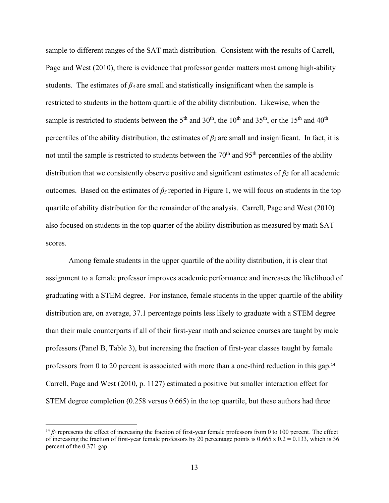sample to different ranges of the SAT math distribution. Consistent with the results of Carrell, Page and West (2010), there is evidence that professor gender matters most among high-ability students. The estimates of *β3* are small and statistically insignificant when the sample is restricted to students in the bottom quartile of the ability distribution. Likewise, when the sample is restricted to students between the  $5<sup>th</sup>$  and  $30<sup>th</sup>$ , the  $10<sup>th</sup>$  and  $35<sup>th</sup>$ , or the  $15<sup>th</sup>$  and  $40<sup>th</sup>$ percentiles of the ability distribution, the estimates of  $\beta_3$  are small and insignificant. In fact, it is not until the sample is restricted to students between the  $70<sup>th</sup>$  and  $95<sup>th</sup>$  percentiles of the ability distribution that we consistently observe positive and significant estimates of *β<sup>3</sup>* for all academic outcomes. Based on the estimates of *β3* reported in Figure 1, we will focus on students in the top quartile of ability distribution for the remainder of the analysis. Carrell, Page and West (2010) also focused on students in the top quarter of the ability distribution as measured by math SAT scores.

Among female students in the upper quartile of the ability distribution, it is clear that assignment to a female professor improves academic performance and increases the likelihood of graduating with a STEM degree. For instance, female students in the upper quartile of the ability distribution are, on average, 37.1 percentage points less likely to graduate with a STEM degree than their male counterparts if all of their first-year math and science courses are taught by male professors (Panel B, Table 3), but increasing the fraction of first-year classes taught by female professors from 0 to 20 percent is associated with more than a one-third reduction in this gap.<sup>14</sup> Carrell, Page and West (2010, p. 1127) estimated a positive but smaller interaction effect for STEM degree completion (0.258 versus 0.665) in the top quartile, but these authors had three

 $\overline{a}$ 

<sup>&</sup>lt;sup>14</sup>  $β_3$  represents the effect of increasing the fraction of first-year female professors from 0 to 100 percent. The effect of increasing the fraction of first-year female professors by 20 percentage points is  $0.665 \times 0.2 = 0.133$ , which is 36 percent of the 0.371 gap.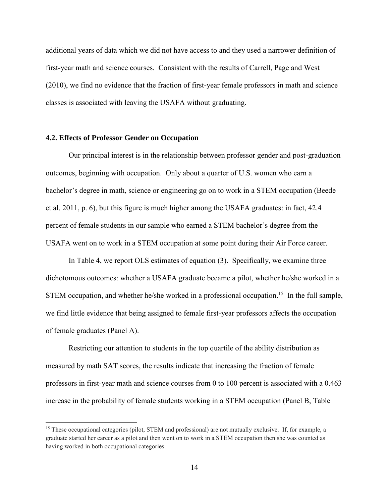additional years of data which we did not have access to and they used a narrower definition of first-year math and science courses. Consistent with the results of Carrell, Page and West (2010), we find no evidence that the fraction of first-year female professors in math and science classes is associated with leaving the USAFA without graduating.

#### **4.2. Effects of Professor Gender on Occupation**

 $\overline{a}$ 

Our principal interest is in the relationship between professor gender and post-graduation outcomes, beginning with occupation. Only about a quarter of U.S. women who earn a bachelor's degree in math, science or engineering go on to work in a STEM occupation (Beede et al. 2011, p. 6), but this figure is much higher among the USAFA graduates: in fact, 42.4 percent of female students in our sample who earned a STEM bachelor's degree from the USAFA went on to work in a STEM occupation at some point during their Air Force career.

In Table 4, we report OLS estimates of equation (3). Specifically, we examine three dichotomous outcomes: whether a USAFA graduate became a pilot, whether he/she worked in a STEM occupation, and whether he/she worked in a professional occupation.<sup>15</sup> In the full sample, we find little evidence that being assigned to female first-year professors affects the occupation of female graduates (Panel A).

Restricting our attention to students in the top quartile of the ability distribution as measured by math SAT scores, the results indicate that increasing the fraction of female professors in first-year math and science courses from 0 to 100 percent is associated with a 0.463 increase in the probability of female students working in a STEM occupation (Panel B, Table

<sup>&</sup>lt;sup>15</sup> These occupational categories (pilot, STEM and professional) are not mutually exclusive. If, for example, a graduate started her career as a pilot and then went on to work in a STEM occupation then she was counted as having worked in both occupational categories.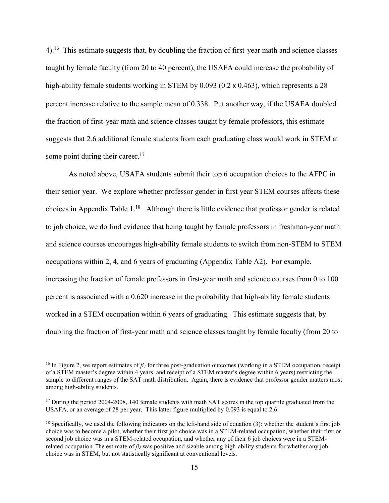$4$ .<sup>16</sup> This estimate suggests that, by doubling the fraction of first-year math and science classes taught by female faculty (from 20 to 40 percent), the USAFA could increase the probability of high-ability female students working in STEM by 0.093 (0.2 x 0.463), which represents a 28 percent increase relative to the sample mean of 0.338. Put another way, if the USAFA doubled the fraction of first-year math and science classes taught by female professors, this estimate suggests that 2.6 additional female students from each graduating class would work in STEM at some point during their career.<sup>17</sup>

As noted above, USAFA students submit their top 6 occupation choices to the AFPC in their senior year. We explore whether professor gender in first year STEM courses affects these choices in Appendix Table 1.<sup>18</sup> Although there is little evidence that professor gender is related to job choice, we do find evidence that being taught by female professors in freshman-year math and science courses encourages high-ability female students to switch from non-STEM to STEM occupations within 2, 4, and 6 years of graduating (Appendix Table A2). For example, increasing the fraction of female professors in first-year math and science courses from 0 to 100 percent is associated with a 0.620 increase in the probability that high-ability female students worked in a STEM occupation within 6 years of graduating. This estimate suggests that, by doubling the fraction of first-year math and science classes taught by female faculty (from 20 to

 $\overline{\phantom{a}}$ 

<sup>16</sup> In Figure 2, we report estimates of *β<sup>3</sup>* for three post-graduation outcomes (working in a STEM occupation, receipt of a STEM master's degree within 4 years, and receipt of a STEM master's degree within 6 years) restricting the sample to different ranges of the SAT math distribution. Again, there is evidence that professor gender matters most among high-ability students.

<sup>&</sup>lt;sup>17</sup> During the period 2004-2008, 140 female students with math SAT scores in the top quartile graduated from the USAFA, or an average of 28 per year. This latter figure multiplied by 0.093 is equal to 2.6.

 $<sup>18</sup>$  Specifically, we used the following indicators on the left-hand side of equation (3): whether the student's first job</sup> choice was to become a pilot, whether their first job choice was in a STEM-related occupation, whether their first or second job choice was in a STEM-related occupation, and whether any of their 6 job choices were in a STEMrelated occupation. The estimate of *β<sup>3</sup>* was positive and sizable among high-ability students for whether any job choice was in STEM, but not statistically significant at conventional levels.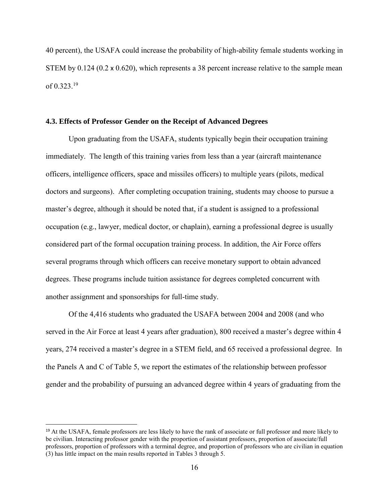40 percent), the USAFA could increase the probability of high-ability female students working in STEM by 0.124 (0.2 x 0.620), which represents a 38 percent increase relative to the sample mean of 0.323. 19

#### **4.3. Effects of Professor Gender on the Receipt of Advanced Degrees**

Upon graduating from the USAFA, students typically begin their occupation training immediately. The length of this training varies from less than a year (aircraft maintenance officers, intelligence officers, space and missiles officers) to multiple years (pilots, medical doctors and surgeons). After completing occupation training, students may choose to pursue a master's degree, although it should be noted that, if a student is assigned to a professional occupation (e.g., lawyer, medical doctor, or chaplain), earning a professional degree is usually considered part of the formal occupation training process. In addition, the Air Force offers several programs through which officers can receive monetary support to obtain advanced degrees. These programs include tuition assistance for degrees completed concurrent with another assignment and sponsorships for full-time study.

Of the 4,416 students who graduated the USAFA between 2004 and 2008 (and who served in the Air Force at least 4 years after graduation), 800 received a master's degree within 4 years, 274 received a master's degree in a STEM field, and 65 received a professional degree. In the Panels A and C of Table 5, we report the estimates of the relationship between professor gender and the probability of pursuing an advanced degree within 4 years of graduating from the

 $\overline{a}$ 

<sup>&</sup>lt;sup>19</sup> At the USAFA, female professors are less likely to have the rank of associate or full professor and more likely to be civilian. Interacting professor gender with the proportion of assistant professors, proportion of associate/full professors, proportion of professors with a terminal degree, and proportion of professors who are civilian in equation (3) has little impact on the main results reported in Tables 3 through 5.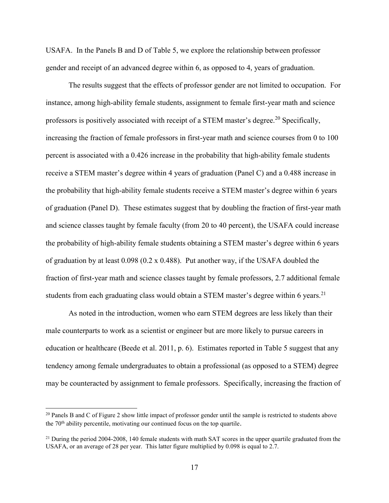USAFA. In the Panels B and D of Table 5, we explore the relationship between professor gender and receipt of an advanced degree within 6, as opposed to 4, years of graduation.

The results suggest that the effects of professor gender are not limited to occupation. For instance, among high-ability female students, assignment to female first-year math and science professors is positively associated with receipt of a STEM master's degree.<sup>20</sup> Specifically, increasing the fraction of female professors in first-year math and science courses from 0 to 100 percent is associated with a 0.426 increase in the probability that high-ability female students receive a STEM master's degree within 4 years of graduation (Panel C) and a 0.488 increase in the probability that high-ability female students receive a STEM master's degree within 6 years of graduation (Panel D). These estimates suggest that by doubling the fraction of first-year math and science classes taught by female faculty (from 20 to 40 percent), the USAFA could increase the probability of high-ability female students obtaining a STEM master's degree within 6 years of graduation by at least 0.098 (0.2 x 0.488). Put another way, if the USAFA doubled the fraction of first-year math and science classes taught by female professors, 2.7 additional female students from each graduating class would obtain a STEM master's degree within 6 years.<sup>21</sup>

As noted in the introduction, women who earn STEM degrees are less likely than their male counterparts to work as a scientist or engineer but are more likely to pursue careers in education or healthcare (Beede et al. 2011, p. 6). Estimates reported in Table 5 suggest that any tendency among female undergraduates to obtain a professional (as opposed to a STEM) degree may be counteracted by assignment to female professors. Specifically, increasing the fraction of

 $\overline{\phantom{a}}$ 

 $20$  Panels B and C of Figure 2 show little impact of professor gender until the sample is restricted to students above the  $70<sup>th</sup>$  ability percentile, motivating our continued focus on the top quartile.

<sup>&</sup>lt;sup>21</sup> During the period 2004-2008, 140 female students with math SAT scores in the upper quartile graduated from the USAFA, or an average of 28 per year. This latter figure multiplied by 0.098 is equal to 2.7.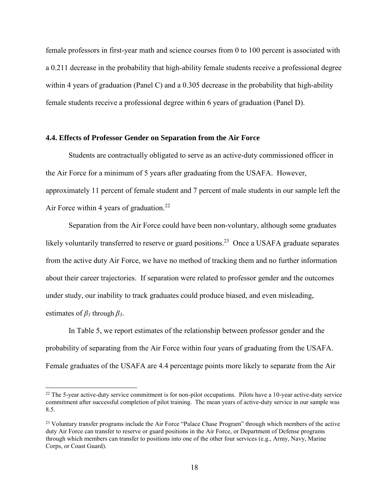female professors in first-year math and science courses from 0 to 100 percent is associated with a 0.211 decrease in the probability that high-ability female students receive a professional degree within 4 years of graduation (Panel C) and a 0.305 decrease in the probability that high-ability female students receive a professional degree within 6 years of graduation (Panel D).

#### **4.4. Effects of Professor Gender on Separation from the Air Force**

Students are contractually obligated to serve as an active-duty commissioned officer in the Air Force for a minimum of 5 years after graduating from the USAFA. However, approximately 11 percent of female student and 7 percent of male students in our sample left the Air Force within 4 years of graduation.<sup>22</sup>

Separation from the Air Force could have been non-voluntary, although some graduates likely voluntarily transferred to reserve or guard positions.<sup>23</sup> Once a USAFA graduate separates from the active duty Air Force, we have no method of tracking them and no further information about their career trajectories. If separation were related to professor gender and the outcomes under study, our inability to track graduates could produce biased, and even misleading, estimates of *β<sup>1</sup>* through *β3*.

In Table 5, we report estimates of the relationship between professor gender and the probability of separating from the Air Force within four years of graduating from the USAFA. Female graduates of the USAFA are 4.4 percentage points more likely to separate from the Air

 $\overline{\phantom{a}}$ 

 $22$  The 5-year active-duty service commitment is for non-pilot occupations. Pilots have a 10-year active-duty service commitment after successful completion of pilot training. The mean years of active-duty service in our sample was 8.5.

<sup>&</sup>lt;sup>23</sup> Voluntary transfer programs include the Air Force "Palace Chase Program" through which members of the active duty Air Force can transfer to reserve or guard positions in the Air Force, or Department of Defense programs through which members can transfer to positions into one of the other four services (e.g., Army, Navy, Marine Corps, or Coast Guard).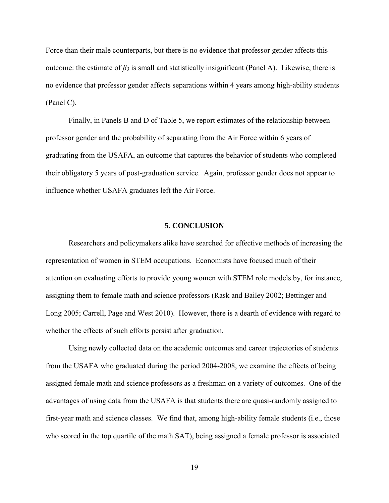Force than their male counterparts, but there is no evidence that professor gender affects this outcome: the estimate of  $β_3$  is small and statistically insignificant (Panel A). Likewise, there is no evidence that professor gender affects separations within 4 years among high-ability students (Panel C).

Finally, in Panels B and D of Table 5, we report estimates of the relationship between professor gender and the probability of separating from the Air Force within 6 years of graduating from the USAFA, an outcome that captures the behavior of students who completed their obligatory 5 years of post-graduation service. Again, professor gender does not appear to influence whether USAFA graduates left the Air Force.

#### **5. CONCLUSION**

Researchers and policymakers alike have searched for effective methods of increasing the representation of women in STEM occupations. Economists have focused much of their attention on evaluating efforts to provide young women with STEM role models by, for instance, assigning them to female math and science professors (Rask and Bailey 2002; Bettinger and Long 2005; Carrell, Page and West 2010). However, there is a dearth of evidence with regard to whether the effects of such efforts persist after graduation.

Using newly collected data on the academic outcomes and career trajectories of students from the USAFA who graduated during the period 2004-2008, we examine the effects of being assigned female math and science professors as a freshman on a variety of outcomes. One of the advantages of using data from the USAFA is that students there are quasi-randomly assigned to first-year math and science classes. We find that, among high-ability female students (i.e., those who scored in the top quartile of the math SAT), being assigned a female professor is associated

19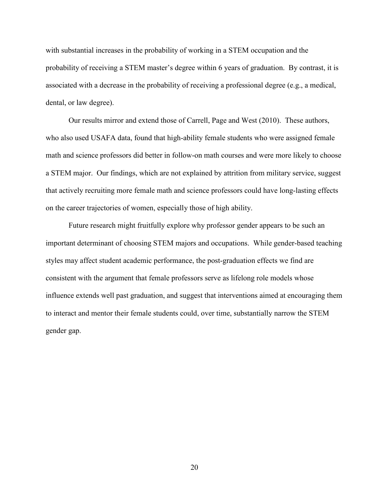with substantial increases in the probability of working in a STEM occupation and the probability of receiving a STEM master's degree within 6 years of graduation. By contrast, it is associated with a decrease in the probability of receiving a professional degree (e.g., a medical, dental, or law degree).

Our results mirror and extend those of Carrell, Page and West (2010). These authors, who also used USAFA data, found that high-ability female students who were assigned female math and science professors did better in follow-on math courses and were more likely to choose a STEM major. Our findings, which are not explained by attrition from military service, suggest that actively recruiting more female math and science professors could have long-lasting effects on the career trajectories of women, especially those of high ability.

Future research might fruitfully explore why professor gender appears to be such an important determinant of choosing STEM majors and occupations. While gender-based teaching styles may affect student academic performance, the post-graduation effects we find are consistent with the argument that female professors serve as lifelong role models whose influence extends well past graduation, and suggest that interventions aimed at encouraging them to interact and mentor their female students could, over time, substantially narrow the STEM gender gap.

20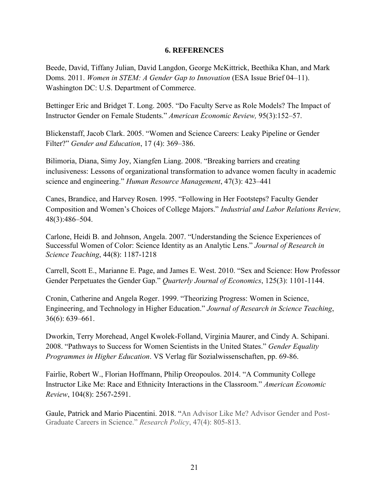### **6. REFERENCES**

Beede, David, Tiffany Julian, David Langdon, George McKittrick, Beethika Khan, and Mark Doms. 2011. *Women in STEM: A Gender Gap to Innovation* (ESA Issue Brief 04–11). Washington DC: U.S. Department of Commerce.

Bettinger Eric and Bridget T. Long. 2005. "Do Faculty Serve as Role Models? The Impact of Instructor Gender on Female Students." *American Economic Review,* 95(3):152–57.

Blickenstaff, Jacob Clark. 2005. "Women and Science Careers: Leaky Pipeline or Gender Filter?" *Gender and Education*, 17 (4): 369–386.

Bilimoria, Diana, Simy Joy, Xiangfen Liang. 2008. "Breaking barriers and creating inclusiveness: Lessons of organizational transformation to advance women faculty in academic science and engineering." *Human Resource Management*, 47(3): 423–441

Canes, Brandice, and Harvey Rosen. 1995. "Following in Her Footsteps? Faculty Gender Composition and Women's Choices of College Majors." *Industrial and Labor Relations Review,*  48(3):486–504.

Carlone, Heidi B. and Johnson, Angela. 2007. "Understanding the Science Experiences of Successful Women of Color: Science Identity as an Analytic Lens." *Journal of Research in Science Teaching*, 44(8): 1187-1218

Carrell, Scott E., Marianne E. Page, and James E. West. 2010. "Sex and Science: How Professor Gender Perpetuates the Gender Gap." *Quarterly Journal of Economics*, 125(3): 1101-1144.

Cronin, Catherine and Angela Roger. 1999. "Theorizing Progress: Women in Science, Engineering, and Technology in Higher Education." *Journal of Research in Science Teaching*, 36(6): 639–661.

Dworkin, Terry Morehead, Angel Kwolek-Folland, Virginia Maurer, and Cindy A. Schipani. 2008. "Pathways to Success for Women Scientists in the United States." *Gender Equality Programmes in Higher Education*. VS Verlag für Sozialwissenschaften, pp. 69-86.

Fairlie, Robert W., Florian Hoffmann, Philip Oreopoulos. 2014. "A Community College Instructor Like Me: Race and Ethnicity Interactions in the Classroom." *American Economic Review*, 104(8): 2567-2591.

Gaule, Patrick and Mario Piacentini. 2018. "An Advisor Like Me? Advisor Gender and Post-Graduate Careers in Science." *Research Policy*, 47(4): 805-813.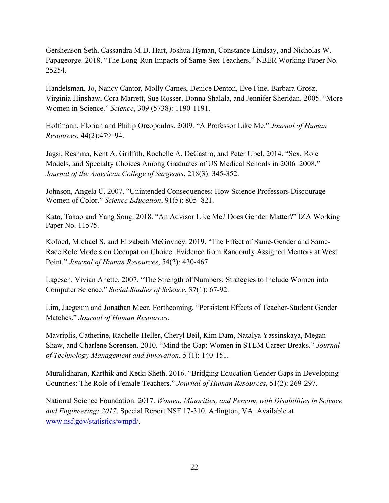Gershenson Seth, Cassandra M.D. Hart, Joshua Hyman, Constance Lindsay, and Nicholas W. Papageorge. 2018. "The Long-Run Impacts of Same-Sex Teachers." NBER Working Paper No. 25254.

Handelsman, Jo, Nancy Cantor, Molly Carnes, Denice Denton, Eve Fine, Barbara Grosz, Virginia Hinshaw, Cora Marrett, Sue Rosser, Donna Shalala, and Jennifer Sheridan. 2005. "More Women in Science." *Science*, 309 (5738): 1190-1191.

Hoffmann, Florian and Philip Oreopoulos. 2009. "A Professor Like Me." *Journal of Human Resources*, 44(2):479–94.

Jagsi, Reshma, Kent A. Griffith, Rochelle A. DeCastro, and Peter Ubel. 2014. "Sex, Role Models, and Specialty Choices Among Graduates of US Medical Schools in 2006–2008." *Journal of the American College of Surgeons*, 218(3): 345-352.

Johnson, Angela C. 2007. "Unintended Consequences: How Science Professors Discourage Women of Color." *Science Education*, 91(5): 805–821.

Kato, Takao and Yang Song. 2018. "An Advisor Like Me? Does Gender Matter?" IZA Working Paper No. 11575.

Kofoed, Michael S. and Elizabeth McGovney. 2019. "The Effect of Same-Gender and Same-Race Role Models on Occupation Choice: Evidence from Randomly Assigned Mentors at West Point." *Journal of Human Resources*, 54(2): 430-467

Lagesen, Vivian Anette. 2007. "The Strength of Numbers: Strategies to Include Women into Computer Science." *Social Studies of Science*, 37(1): 67-92.

Lim, Jaegeum and Jonathan Meer. Forthcoming. "Persistent Effects of Teacher-Student Gender Matches." *Journal of Human Resources*.

Mavriplis, Catherine, Rachelle Heller, Cheryl Beil, Kim Dam, Natalya Yassinskaya, Megan Shaw, and Charlene Sorensen. 2010. "Mind the Gap: Women in STEM Career Breaks." *Journal of Technology Management and Innovation*, 5 (1): 140-151.

Muralidharan, Karthik and Ketki Sheth. 2016. "Bridging Education Gender Gaps in Developing Countries: The Role of Female Teachers." *Journal of Human Resources*, 51(2): 269-297.

National Science Foundation. 2017. *Women, Minorities, and Persons with Disabilities in Science and Engineering: 2017*. Special Report NSF 17-310. Arlington, VA. Available at [www.nsf.gov/statistics/wmpd/.](http://www.nsf.gov/statistics/wmpd/)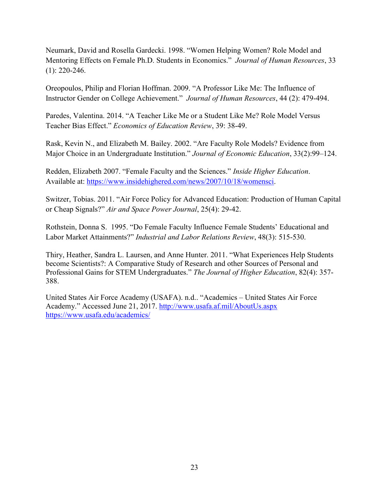Neumark, David and Rosella Gardecki. 1998. "Women Helping Women? Role Model and Mentoring Effects on Female Ph.D. Students in Economics." *Journal of Human Resources*, 33 (1): 220-246.

Oreopoulos, Philip and Florian Hoffman. 2009. "A Professor Like Me: The Influence of Instructor Gender on College Achievement." *Journal of Human Resources*, 44 (2): 479-494.

Paredes, Valentina. 2014. "A Teacher Like Me or a Student Like Me? Role Model Versus Teacher Bias Effect." *Economics of Education Review*, 39: 38-49.

Rask, Kevin N., and Elizabeth M. Bailey. 2002. "Are Faculty Role Models? Evidence from Major Choice in an Undergraduate Institution." *Journal of Economic Education*, 33(2):99–124.

Redden, Elizabeth 2007. "Female Faculty and the Sciences." *Inside Higher Education*. Available at: [https://www.insidehighered.com/news/2007/10/18/womensci.](https://www.insidehighered.com/news/2007/10/18/womensci)

Switzer, Tobias. 2011. "Air Force Policy for Advanced Education: Production of Human Capital or Cheap Signals?" *Air and Space Power Journal*, 25(4): 29-42.

Rothstein, Donna S. 1995. "Do Female Faculty Influence Female Students' Educational and Labor Market Attainments?" *Industrial and Labor Relations Review*, 48(3): 515-530.

Thiry, Heather, Sandra L. Laursen, and Anne Hunter. 2011. "What Experiences Help Students become Scientists?: A Comparative Study of Research and other Sources of Personal and Professional Gains for STEM Undergraduates." *The Journal of Higher Education*, 82(4): 357- 388.

United States Air Force Academy (USAFA). n.d.. "Academics – United States Air Force Academy." Accessed June 21, 2017.<http://www.usafa.af.mil/AboutUs.aspx> <https://www.usafa.edu/academics/>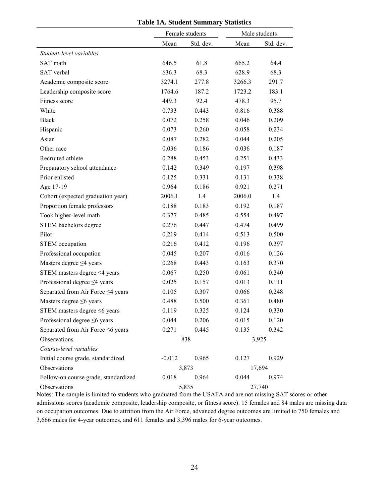|                                      | Female students |           | Male students |           |
|--------------------------------------|-----------------|-----------|---------------|-----------|
|                                      | Mean            | Std. dev. | Mean          | Std. dev. |
| Student-level variables              |                 |           |               |           |
| SAT math                             | 646.5           | 61.8      | 665.2         | 64.4      |
| SAT verbal                           | 636.3           | 68.3      | 628.9         | 68.3      |
| Academic composite score             | 3274.1          | 277.8     | 3266.3        | 291.7     |
| Leadership composite score           | 1764.6          | 187.2     | 1723.2        | 183.1     |
| Fitness score                        | 449.3           | 92.4      | 478.3         | 95.7      |
| White                                | 0.733           | 0.443     | 0.816         | 0.388     |
| <b>Black</b>                         | 0.072           | 0.258     | 0.046         | 0.209     |
| Hispanic                             | 0.073           | 0.260     | 0.058         | 0.234     |
| Asian                                | 0.087           | 0.282     | 0.044         | 0.205     |
| Other race                           | 0.036           | 0.186     | 0.036         | 0.187     |
| Recruited athlete                    | 0.288           | 0.453     | 0.251         | 0.433     |
| Preparatory school attendance        | 0.142           | 0.349     | 0.197         | 0.398     |
| Prior enlisted                       | 0.125           | 0.331     | 0.131         | 0.338     |
| Age 17-19                            | 0.964           | 0.186     | 0.921         | 0.271     |
| Cohort (expected graduation year)    | 2006.1          | 1.4       | 2006.0        | 1.4       |
| Proportion female professors         | 0.188           | 0.183     | 0.192         | 0.187     |
| Took higher-level math               | 0.377           | 0.485     | 0.554         | 0.497     |
| STEM bachelors degree                | 0.276           | 0.447     | 0.474         | 0.499     |
| Pilot                                | 0.219           | 0.414     | 0.513         | 0.500     |
| STEM occupation                      | 0.216           | 0.412     | 0.196         | 0.397     |
| Professional occupation              | 0.045           | 0.207     | 0.016         | 0.126     |
| Masters degree ≤4 years              | 0.268           | 0.443     | 0.163         | 0.370     |
| STEM masters degree $\leq$ 4 years   | 0.067           | 0.250     | 0.061         | 0.240     |
| Professional degree ≤4 years         | 0.025           | 0.157     | 0.013         | 0.111     |
| Separated from Air Force ≤4 years    | 0.105           | 0.307     | 0.066         | 0.248     |
| Masters degree $\leq 6$ years        | 0.488           | 0.500     | 0.361         | 0.480     |
| STEM masters degree $\leq 6$ years   | 0.119           | 0.325     | 0.124         | 0.330     |
| Professional degree ≤6 years         | 0.044           | 0.206     | 0.015         | 0.120     |
| Separated from Air Force ≤6 years    | 0.271           | 0.445     | 0.135         | 0.342     |
| Observations                         |                 | 838       |               | 3,925     |
| Course-level variables               |                 |           |               |           |
| Initial course grade, standardized   | $-0.012$        | 0.965     | 0.127         | 0.929     |
| Observations                         |                 | 3,873     |               | 17,694    |
| Follow-on course grade, standardized | 0.018           | 0.964     | 0.044         | 0.974     |
| Observations                         |                 | 5,835     |               | 27,740    |

**Table 1A. Student Summary Statistics**

Notes: The sample is limited to students who graduated from the USAFA and are not missing SAT scores or other admissions scores (academic composite, leadership composite, or fitness score). 15 females and 84 males are missing data on occupation outcomes. Due to attrition from the Air Force, advanced degree outcomes are limited to 750 females and 3,666 males for 4-year outcomes, and 611 females and 3,396 males for 6-year outcomes.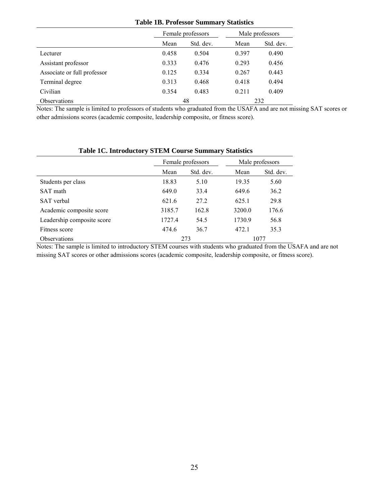|  |  | <b>Table 1B. Professor Summary Statistics</b> |  |
|--|--|-----------------------------------------------|--|
|--|--|-----------------------------------------------|--|

|                             | Female professors |           | Male professors |           |
|-----------------------------|-------------------|-----------|-----------------|-----------|
|                             | Mean              | Std. dev. | Mean            | Std. dev. |
| Lecturer                    | 0.458             | 0.504     | 0.397           | 0.490     |
| Assistant professor         | 0.333             | 0.476     | 0.293           | 0.456     |
| Associate or full professor | 0.125             | 0.334     | 0.267           | 0.443     |
| Terminal degree             | 0.313             | 0.468     | 0.418           | 0.494     |
| Civilian                    | 0.354             | 0.483     | 0.211           | 0.409     |
| <b>Observations</b>         |                   | 48        |                 | 232       |

Notes: The sample is limited to professors of students who graduated from the USAFA and are not missing SAT scores or other admissions scores (academic composite, leadership composite, or fitness score).

|                            | Female professors |           | Male professors |           |
|----------------------------|-------------------|-----------|-----------------|-----------|
|                            | Mean              | Std. dev. | Mean            | Std. dev. |
| Students per class         | 18.83             | 5.10      | 19.35           | 5.60      |
| SAT math                   | 649.0             | 33.4      | 649.6           | 36.2      |
| SAT verbal                 | 621.6             | 27.2      | 625.1           | 29.8      |
| Academic composite score   | 3185.7            | 162.8     | 3200.0          | 176.6     |
| Leadership composite score | 1727.4            | 54.5      | 1730.9          | 56.8      |
| Fitness score              | 474.6             | 36.7      | 472.1           | 35.3      |
| Observations               |                   | 273       |                 | 1077      |

### **Table 1C. Introductory STEM Course Summary Statistics**

Notes: The sample is limited to introductory STEM courses with students who graduated from the USAFA and are not missing SAT scores or other admissions scores (academic composite, leadership composite, or fitness score).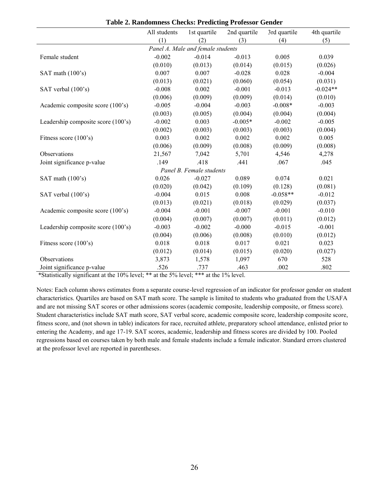|                                    | All students | 1st quartile                      | 2nd quartile | 3rd quartile | 4th quartile |
|------------------------------------|--------------|-----------------------------------|--------------|--------------|--------------|
|                                    | (1)          | (2)                               | (3)          | (4)          | (5)          |
|                                    |              | Panel A. Male and female students |              |              |              |
| Female student                     | $-0.002$     | $-0.014$                          | $-0.013$     | 0.005        | 0.039        |
|                                    | (0.010)      | (0.013)                           | (0.014)      | (0.015)      | (0.026)      |
| SAT math (100's)                   | 0.007        | 0.007                             | $-0.028$     | 0.028        | $-0.004$     |
|                                    | (0.013)      | (0.021)                           | (0.060)      | (0.054)      | (0.031)      |
| SAT verbal (100's)                 | $-0.008$     | 0.002                             | $-0.001$     | $-0.013$     | $-0.024**$   |
|                                    | (0.006)      | (0.009)                           | (0.009)      | (0.014)      | (0.010)      |
| Academic composite score (100's)   | $-0.005$     | $-0.004$                          | $-0.003$     | $-0.008*$    | $-0.003$     |
|                                    | (0.003)      | (0.005)                           | (0.004)      | (0.004)      | (0.004)      |
| Leadership composite score (100's) | $-0.002$     | 0.003                             | $-0.005*$    | $-0.002$     | $-0.005$     |
|                                    | (0.002)      | (0.003)                           | (0.003)      | (0.003)      | (0.004)      |
| Fitness score $(100's)$            | 0.003        | 0.002                             | 0.002        | 0.002        | 0.005        |
|                                    | (0.006)      | (0.009)                           | (0.008)      | (0.009)      | (0.008)      |
| Observations                       | 21,567       | 7,042                             | 5,701        | 4,546        | 4,278        |
| Joint significance p-value         | .149         | .418                              | .441         | .067         | .045         |
|                                    |              | Panel B. Female students          |              |              |              |
| SAT math (100's)                   | 0.026        | $-0.027$                          | 0.089        | 0.074        | 0.021        |
|                                    | (0.020)      | (0.042)                           | (0.109)      | (0.128)      | (0.081)      |
| SAT verbal (100's)                 | $-0.004$     | 0.015                             | 0.008        | $-0.058**$   | $-0.012$     |
|                                    | (0.013)      | (0.021)                           | (0.018)      | (0.029)      | (0.037)      |
| Academic composite score (100's)   | $-0.004$     | $-0.001$                          | $-0.007$     | $-0.001$     | $-0.010$     |
|                                    | (0.004)      | (0.007)                           | (0.007)      | (0.011)      | (0.012)      |
| Leadership composite score (100's) | $-0.003$     | $-0.002$                          | $-0.000$     | $-0.015$     | $-0.001$     |
|                                    | (0.004)      | (0.006)                           | (0.008)      | (0.010)      | (0.012)      |
| Fitness score (100's)              | 0.018        | 0.018                             | 0.017        | 0.021        | 0.023        |
|                                    | (0.012)      | (0.014)                           | (0.015)      | (0.020)      | (0.027)      |
| Observations                       | 3,873        | 1,578                             | 1,097        | 670          | 528          |
| Joint significance p-value         | .526         | .737                              | .463         | .002         | .802         |

**Table 2. Randomness Checks: Predicting Professor Gender**

Notes: Each column shows estimates from a separate course-level regression of an indicator for professor gender on student characteristics. Quartiles are based on SAT math score. The sample is limited to students who graduated from the USAFA and are not missing SAT scores or other admissions scores (academic composite, leadership composite, or fitness score). Student characteristics include SAT math score, SAT verbal score, academic composite score, leadership composite score, fitness score, and (not shown in table) indicators for race, recruited athlete, preparatory school attendance, enlisted prior to entering the Academy, and age 17-19. SAT scores, academic, leadership and fitness scores are divided by 100. Pooled regressions based on courses taken by both male and female students include a female indicator. Standard errors clustered at the professor level are reported in parentheses.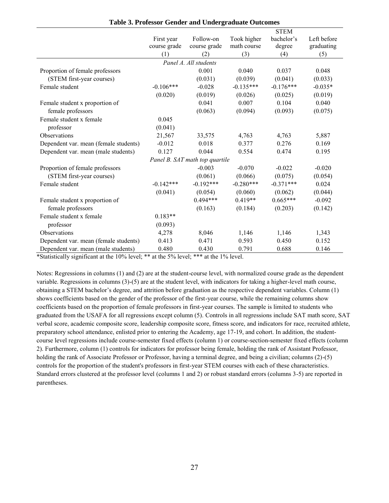|                                       |              |                                |             | <b>STEM</b> |             |
|---------------------------------------|--------------|--------------------------------|-------------|-------------|-------------|
|                                       | First year   | Follow-on                      | Took higher | bachelor's  | Left before |
|                                       | course grade | course grade                   | math course | degree      | graduating  |
|                                       | (1)          | (2)                            | (3)         | (4)         | (5)         |
|                                       |              | Panel A. All students          |             |             |             |
| Proportion of female professors       |              | 0.001                          | 0.040       | 0.037       | 0.048       |
| (STEM first-year courses)             |              | (0.031)                        | (0.039)     | (0.041)     | (0.033)     |
| Female student                        | $-0.106***$  | $-0.028$                       | $-0.135***$ | $-0.176***$ | $-0.035*$   |
|                                       | (0.020)      | (0.019)                        | (0.026)     | (0.025)     | (0.019)     |
| Female student x proportion of        |              | 0.041                          | 0.007       | 0.104       | 0.040       |
| female professors                     |              | (0.063)                        | (0.094)     | (0.093)     | (0.075)     |
| Female student x female               | 0.045        |                                |             |             |             |
| professor                             | (0.041)      |                                |             |             |             |
| Observations                          | 21,567       | 33,575                         | 4,763       | 4,763       | 5,887       |
| Dependent var. mean (female students) | $-0.012$     | 0.018                          | 0.377       | 0.276       | 0.169       |
| Dependent var. mean (male students)   | 0.127        | 0.044                          | 0.554       | 0.474       | 0.195       |
|                                       |              | Panel B. SAT math top quartile |             |             |             |
| Proportion of female professors       |              | $-0.003$                       | $-0.070$    | $-0.022$    | $-0.020$    |
| (STEM first-year courses)             |              | (0.061)                        | (0.066)     | (0.075)     | (0.054)     |
| Female student                        | $-0.142***$  | $-0.192***$                    | $-0.280***$ | $-0.371***$ | 0.024       |
|                                       | (0.041)      | (0.054)                        | (0.060)     | (0.062)     | (0.044)     |
| Female student x proportion of        |              | $0.494***$                     | $0.419**$   | $0.665***$  | $-0.092$    |
| female professors                     |              | (0.163)                        | (0.184)     | (0.203)     | (0.142)     |
| Female student x female               | $0.183**$    |                                |             |             |             |
| professor                             | (0.093)      |                                |             |             |             |
| Observations                          | 4,278        | 8,046                          | 1,146       | 1,146       | 1,343       |
| Dependent var. mean (female students) | 0.413        | 0.471                          | 0.593       | 0.450       | 0.152       |
| Dependent var. mean (male students)   | 0.480        | 0.430                          | 0.791       | 0.688       | 0.146       |

**Table 3. Professor Gender and Undergraduate Outcomes**

Notes: Regressions in columns (1) and (2) are at the student-course level, with normalized course grade as the dependent variable. Regressions in columns (3)-(5) are at the student level, with indicators for taking a higher-level math course, obtaining a STEM bachelor's degree, and attrition before graduation as the respective dependent variables. Column (1) shows coefficients based on the gender of the professor of the first-year course, while the remaining columns show coefficients based on the proportion of female professors in first-year courses. The sample is limited to students who graduated from the USAFA for all regressions except column (5). Controls in all regressions include SAT math score, SAT verbal score, academic composite score, leadership composite score, fitness score, and indicators for race, recruited athlete, preparatory school attendance, enlisted prior to entering the Academy, age 17-19, and cohort. In addition, the studentcourse level regressions include course-semester fixed effects (column 1) or course-section-semester fixed effects (column 2). Furthermore, column (1) controls for indicators for professor being female, holding the rank of Assistant Professor, holding the rank of Associate Professor or Professor, having a terminal degree, and being a civilian; columns (2)-(5) controls for the proportion of the student's professors in first-year STEM courses with each of these characteristics. Standard errors clustered at the professor level (columns 1 and 2) or robust standard errors (columns 3-5) are reported in parentheses.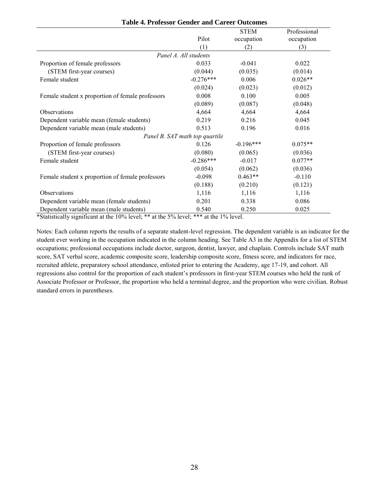|                                                                                                                   |                                | <b>STEM</b> | Professional |
|-------------------------------------------------------------------------------------------------------------------|--------------------------------|-------------|--------------|
|                                                                                                                   | Pilot                          | occupation  | occupation   |
|                                                                                                                   | (1)                            | (2)         | (3)          |
|                                                                                                                   | Panel A. All students          |             |              |
| Proportion of female professors                                                                                   | 0.033                          | $-0.041$    | 0.022        |
| (STEM first-year courses)                                                                                         | (0.044)                        | (0.035)     | (0.014)      |
| Female student                                                                                                    | $-0.276***$                    | 0.006       | $0.026**$    |
|                                                                                                                   | (0.024)                        | (0.023)     | (0.012)      |
| Female student x proportion of female professors                                                                  | 0.008                          | 0.100       | 0.005        |
|                                                                                                                   | (0.089)                        | (0.087)     | (0.048)      |
| Observations                                                                                                      | 4,664                          | 4,664       | 4,664        |
| Dependent variable mean (female students)                                                                         | 0.219                          | 0.216       | 0.045        |
| Dependent variable mean (male students)                                                                           | 0.513                          | 0.196       | 0.016        |
|                                                                                                                   | Panel B. SAT math top quartile |             |              |
| Proportion of female professors                                                                                   | 0.126                          | $-0.196***$ | $0.075**$    |
| (STEM first-year courses)                                                                                         | (0.080)                        | (0.065)     | (0.036)      |
| Female student                                                                                                    | $-0.286***$                    | $-0.017$    | $0.077**$    |
|                                                                                                                   | (0.054)                        | (0.062)     | (0.036)      |
| Female student x proportion of female professors                                                                  | $-0.098$                       | $0.463**$   | $-0.110$     |
|                                                                                                                   | (0.188)                        | (0.210)     | (0.121)      |
| Observations                                                                                                      | 1,116                          | 1,116       | 1,116        |
| Dependent variable mean (female students)                                                                         | 0.201                          | 0.338       | 0.086        |
| Dependent variable mean (male students)<br>$20.77 \times 11.77 \times 10^{-1}$ $1.700 \times 1.77 \times 10^{-1}$ | 0.540                          | 0.250       | 0.025        |

| <b>Table 4. Professor Gender and Career Outcomes</b> |  |  |  |
|------------------------------------------------------|--|--|--|
|------------------------------------------------------|--|--|--|

Notes: Each column reports the results of a separate student-level regression. The dependent variable is an indicator for the student ever working in the occupation indicated in the column heading. See Table A3 in the Appendix for a list of STEM occupations; professional occupations include doctor, surgeon, dentist, lawyer, and chaplain. Controls include SAT math score, SAT verbal score, academic composite score, leadership composite score, fitness score, and indicators for race, recruited athlete, preparatory school attendance, enlisted prior to entering the Academy, age 17-19, and cohort. All regressions also control for the proportion of each student's professors in first-year STEM courses who held the rank of Associate Professor or Professor, the proportion who held a terminal degree, and the proportion who were civilian. Robust standard errors in parentheses.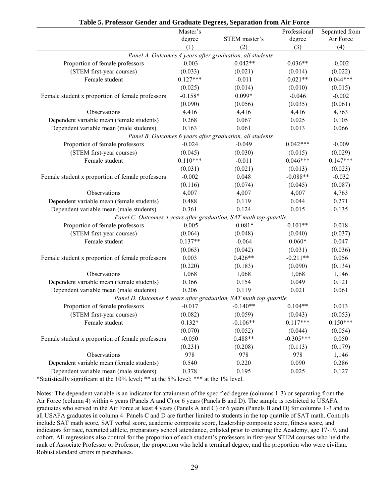|                                                                   | Master's   |                                                                   | Professional | Separated from |  |
|-------------------------------------------------------------------|------------|-------------------------------------------------------------------|--------------|----------------|--|
|                                                                   | degree     | STEM master's                                                     | degree       | Air Force      |  |
|                                                                   | (1)        | (2)                                                               | (3)          | (4)            |  |
|                                                                   |            | Panel A. Outcomes 4 years after graduation, all students          |              |                |  |
| Proportion of female professors                                   | $-0.003$   | $-0.042**$                                                        | $0.036**$    | $-0.002$       |  |
| (STEM first-year courses)                                         | (0.033)    | (0.021)                                                           | (0.014)      | (0.022)        |  |
| Female student                                                    | $0.127***$ | $-0.011$                                                          | $0.021**$    | $0.044***$     |  |
|                                                                   | (0.025)    | (0.014)                                                           | (0.010)      | (0.015)        |  |
| Female student x proportion of female professors                  | $-0.158*$  | $0.099*$                                                          | $-0.046$     | $-0.002$       |  |
|                                                                   | (0.090)    | (0.056)                                                           | (0.035)      | (0.061)        |  |
| Observations                                                      | 4,416      | 4,416                                                             | 4,416        | 4,763          |  |
| Dependent variable mean (female students)                         | 0.268      | 0.067                                                             | 0.025        | 0.105          |  |
| Dependent variable mean (male students)                           | 0.163      | 0.061                                                             | 0.013        | 0.066          |  |
|                                                                   |            | Panel B. Outcomes 6 years after graduation, all students          |              |                |  |
| Proportion of female professors                                   | $-0.024$   | $-0.049$                                                          | $0.042***$   | $-0.009$       |  |
| (STEM first-year courses)                                         | (0.045)    | (0.030)                                                           | (0.015)      | (0.029)        |  |
| Female student                                                    | $0.110***$ | $-0.011$                                                          | $0.046***$   | $0.147***$     |  |
|                                                                   | (0.031)    | (0.021)                                                           | (0.013)      | (0.023)        |  |
| Female student x proportion of female professors                  | $-0.002$   | 0.048                                                             | $-0.088**$   | $-0.032$       |  |
|                                                                   | (0.116)    | (0.074)                                                           | (0.045)      | (0.087)        |  |
| Observations                                                      | 4,007      | 4,007                                                             | 4,007        | 4,763          |  |
| Dependent variable mean (female students)                         | 0.488      | 0.119                                                             | 0.044        | 0.271          |  |
| Dependent variable mean (male students)                           | 0.361      | 0.124                                                             | 0.015        | 0.135          |  |
|                                                                   |            | Panel C. Outcomes 4 years after graduation, SAT math top quartile |              |                |  |
| Proportion of female professors                                   | $-0.005$   | $-0.081*$                                                         | $0.101**$    | 0.018          |  |
| (STEM first-year courses)                                         | (0.064)    | (0.048)                                                           | (0.040)      | (0.037)        |  |
| Female student                                                    | $0.137**$  | $-0.064$                                                          | $0.060*$     | 0.047          |  |
|                                                                   | (0.063)    | (0.042)                                                           | (0.031)      | (0.036)        |  |
| Female student x proportion of female professors                  | 0.003      | $0.426**$                                                         | $-0.211**$   | 0.056          |  |
|                                                                   | (0.220)    | (0.183)                                                           | (0.090)      | (0.134)        |  |
| Observations                                                      | 1,068      | 1,068                                                             | 1,068        | 1,146          |  |
| Dependent variable mean (female students)                         | 0.366      | 0.154                                                             | 0.049        | 0.121          |  |
| Dependent variable mean (male students)                           | 0.206      | 0.119                                                             | 0.021        | 0.061          |  |
| Panel D. Outcomes 6 years after graduation, SAT math top quartile |            |                                                                   |              |                |  |
| Proportion of female professors                                   | $-0.017$   | $-0.140**$                                                        | $0.104**$    | 0.013          |  |
| (STEM first-year courses)                                         | (0.082)    | (0.059)                                                           | (0.043)      | (0.053)        |  |
| Female student                                                    | $0.132*$   | $-0.106**$                                                        | $0.117***$   | $0.150***$     |  |
|                                                                   | (0.070)    | (0.052)                                                           | (0.044)      | (0.054)        |  |
| Female student x proportion of female professors                  | $-0.050$   | $0.488**$                                                         | $-0.305***$  | 0.050          |  |
|                                                                   | (0.231)    | (0.208)                                                           | (0.113)      | (0.179)        |  |
| Observations                                                      | 978        | 978                                                               | 978          | 1,146          |  |
| Dependent variable mean (female students)                         | 0.540      | 0.220                                                             | 0.090        | 0.286          |  |
| Dependent variable mean (male students)                           | 0.378      | 0.195                                                             | 0.025        | 0.127          |  |

Notes: The dependent variable is an indicator for attainment of the specified degree (columns 1-3) or separating from the Air Force (column 4) within 4 years (Panels A and C) or 6 years (Panels B and D). The sample is restricted to USAFA graduates who served in the Air Force at least 4 years (Panels A and C) or 6 years (Panels B and D) for columns 1-3 and to all USAFA graduates in column 4. Panels C and D are further limited to students in the top quartile of SAT math. Controls include SAT math score, SAT verbal score, academic composite score, leadership composite score, fitness score, and indicators for race, recruited athlete, preparatory school attendance, enlisted prior to entering the Academy, age 17-19, and cohort. All regressions also control for the proportion of each student's professors in first-year STEM courses who held the rank of Associate Professor or Professor, the proportion who held a terminal degree, and the proportion who were civilian. Robust standard errors in parentheses.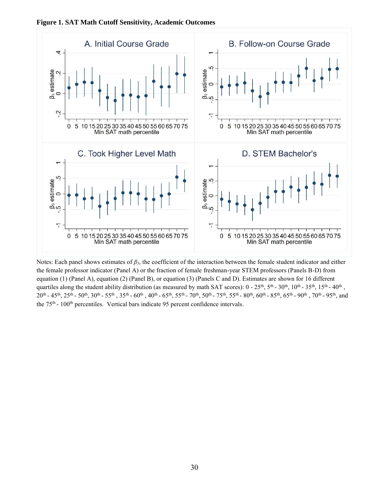



Notes: Each panel shows estimates of *β3*, the coefficient of the interaction between the female student indicator and either the female professor indicator (Panel A) or the fraction of female freshman-year STEM professors (Panels B-D) from equation (1) (Panel A), equation (2) (Panel B), or equation (3) (Panels C and D). Estimates are shown for 16 different quartiles along the student ability distribution (as measured by math SAT scores):  $0 - 25^{th}$ ,  $5^{th} - 30^{th}$ ,  $10^{th} - 35^{th}$ ,  $15^{th} - 40^{th}$ ,  $20^{\text{th}}$  -  $45^{\text{th}}$ ,  $25^{\text{th}}$  -  $50^{\text{th}}$ ,  $30^{\text{th}}$  -  $55^{\text{th}}$  -  $60^{\text{th}}$ ,  $40^{\text{th}}$  -  $65^{\text{th}}$ ,  $55^{\text{th}}$  -  $70^{\text{th}}$ ,  $50^{\text{th}}$  -  $75^{\text{th}}$ ,  $55^{\text{th}}$  -  $80^{\text{th}}$ ,  $60^{\text{th}}$  -  $85^{\text{th}}$ ,  $65^{\text{th$ the 75<sup>th</sup> - 100<sup>th</sup> percentiles. Vertical bars indicate 95 percent confidence intervals.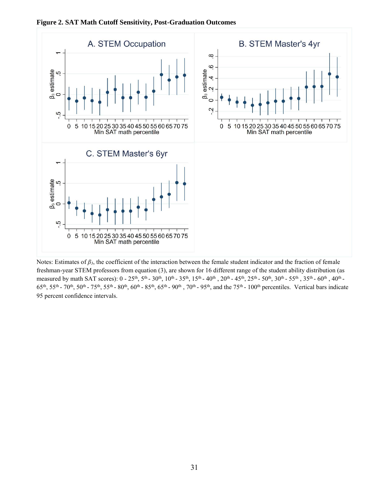



Notes: Estimates of *β3*, the coefficient of the interaction between the female student indicator and the fraction of female freshman-year STEM professors from equation (3), are shown for 16 different range of the student ability distribution (as measured by math SAT scores):  $0 - 25^{th}$ ,  $5^{th}$  -  $30^{th}$ ,  $10^{th}$  -  $35^{th}$ ,  $15^{th}$  -  $40^{th}$ ,  $20^{th}$  -  $45^{th}$ ,  $25^{th}$  -  $50^{th}$ ,  $30^{th}$  -  $55^{th}$  ,  $35^{th}$  -  $60^{th}$ ,  $40^{th}$  - $65<sup>th</sup>$ ,  $55<sup>th</sup>$  -  $70<sup>th</sup>$ ,  $55<sup>th</sup>$  -  $80<sup>th</sup>$ ,  $60<sup>th</sup>$  -  $85<sup>th</sup>$ ,  $65<sup>th</sup>$  -  $90<sup>th</sup>$ ,  $70<sup>th</sup>$  -  $95<sup>th</sup>$ , and the  $75<sup>th</sup>$  -  $100<sup>th</sup>$  percentiles. Vertical bars indicate 95 percent confidence intervals.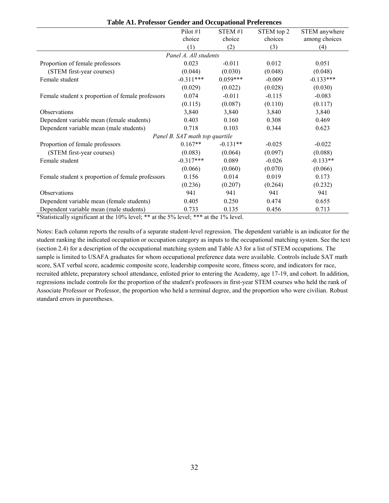|                                                  | Pilot $#1$                     | STEM #1    | STEM top 2 | STEM anywhere |
|--------------------------------------------------|--------------------------------|------------|------------|---------------|
|                                                  | choice                         | choice     | choices    | among choices |
|                                                  | (1)                            | (2)        | (3)        | (4)           |
|                                                  | Panel A. All students          |            |            |               |
| Proportion of female professors                  | 0.023                          | $-0.011$   | 0.012      | 0.051         |
| (STEM first-year courses)                        | (0.044)                        | (0.030)    | (0.048)    | (0.048)       |
| Female student                                   | $-0.311***$                    | $0.059***$ | $-0.009$   | $-0.133***$   |
|                                                  | (0.029)                        | (0.022)    | (0.028)    | (0.030)       |
| Female student x proportion of female professors | 0.074                          | $-0.011$   | $-0.115$   | $-0.083$      |
|                                                  | (0.115)                        | (0.087)    | (0.110)    | (0.117)       |
| <b>Observations</b>                              | 3,840                          | 3,840      | 3,840      | 3,840         |
| Dependent variable mean (female students)        | 0.403                          | 0.160      | 0.308      | 0.469         |
| Dependent variable mean (male students)          | 0.718                          | 0.103      | 0.344      | 0.623         |
|                                                  | Panel B. SAT math top quartile |            |            |               |
| Proportion of female professors                  | $0.167**$                      | $-0.131**$ | $-0.025$   | $-0.022$      |
| (STEM first-year courses)                        | (0.083)                        | (0.064)    | (0.097)    | (0.088)       |
| Female student                                   | $-0.317***$                    | 0.089      | $-0.026$   | $-0.133**$    |
|                                                  | (0.066)                        | (0.060)    | (0.070)    | (0.066)       |
| Female student x proportion of female professors | 0.156                          | 0.014      | 0.019      | 0.173         |
|                                                  | (0.236)                        | (0.207)    | (0.264)    | (0.232)       |
| <b>Observations</b>                              | 941                            | 941        | 941        | 941           |
| Dependent variable mean (female students)        | 0.405                          | 0.250      | 0.474      | 0.655         |
| Dependent variable mean (male students)          | 0.733                          | 0.135      | 0.456      | 0.713         |

**Table A1. Professor Gender and Occupational Preferences**

Notes: Each column reports the results of a separate student-level regression. The dependent variable is an indicator for the student ranking the indicated occupation or occupation category as inputs to the occupational matching system. See the text (section 2.4) for a description of the occupational matching system and Table A3 for a list of STEM occupations. The sample is limited to USAFA graduates for whom occupational preference data were available. Controls include SAT math score, SAT verbal score, academic composite score, leadership composite score, fitness score, and indicators for race, recruited athlete, preparatory school attendance, enlisted prior to entering the Academy, age 17-19, and cohort. In addition, regressions include controls for the proportion of the student's professors in first-year STEM courses who held the rank of Associate Professor or Professor, the proportion who held a terminal degree, and the proportion who were civilian. Robust standard errors in parentheses.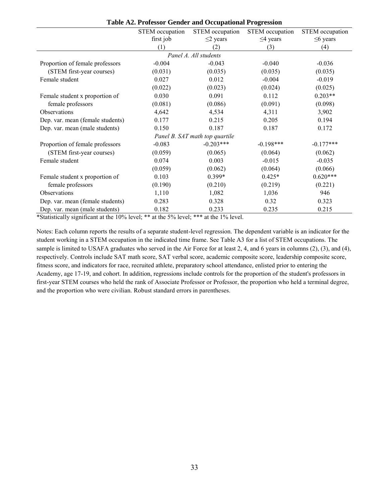|                                  | STEM occupation | STEM occupation                | STEM occupation | STEM occupation |
|----------------------------------|-----------------|--------------------------------|-----------------|-----------------|
|                                  | first job       | $\leq$ 2 years                 | $\leq$ 4 years  | $\leq$ 6 years  |
|                                  | (1)             | (2)                            | (3)             | (4)             |
|                                  |                 | Panel A. All students          |                 |                 |
| Proportion of female professors  | $-0.004$        | $-0.043$                       | $-0.040$        | $-0.036$        |
| (STEM first-year courses)        | (0.031)         | (0.035)                        | (0.035)         | (0.035)         |
| Female student                   | 0.027           | 0.012                          | $-0.004$        | $-0.019$        |
|                                  | (0.022)         | (0.023)                        | (0.024)         | (0.025)         |
| Female student x proportion of   | 0.030           | 0.091                          | 0.112           | $0.203**$       |
| female professors                | (0.081)         | (0.086)                        | (0.091)         | (0.098)         |
| Observations                     | 4,642           | 4,534                          | 4,311           | 3,902           |
| Dep. var. mean (female students) | 0.177           | 0.215                          | 0.205           | 0.194           |
| Dep. var. mean (male students)   | 0.150           | 0.187                          | 0.187           | 0.172           |
|                                  |                 | Panel B. SAT math top quartile |                 |                 |
| Proportion of female professors  | $-0.083$        | $-0.203***$                    | $-0.198***$     | $-0.177***$     |
| (STEM first-year courses)        | (0.059)         | (0.065)                        | (0.064)         | (0.062)         |
| Female student                   | 0.074           | 0.003                          | $-0.015$        | $-0.035$        |
|                                  | (0.059)         | (0.062)                        | (0.064)         | (0.066)         |
| Female student x proportion of   | 0.103           | 0.399*                         | $0.425*$        | $0.620***$      |
| female professors                | (0.190)         | (0.210)                        | (0.219)         | (0.221)         |
| Observations                     | 1,110           | 1,082                          | 1,036           | 946             |
| Dep. var. mean (female students) | 0.283           | 0.328                          | 0.32            | 0.323           |
| Dep. var. mean (male students)   | 0.182           | 0.233                          | 0.235           | 0.215           |

**Table A2. Professor Gender and Occupational Progression**

Notes: Each column reports the results of a separate student-level regression. The dependent variable is an indicator for the student working in a STEM occupation in the indicated time frame. See Table A3 for a list of STEM occupations. The sample is limited to USAFA graduates who served in the Air Force for at least 2, 4, and 6 years in columns (2), (3), and (4), respectively. Controls include SAT math score, SAT verbal score, academic composite score, leadership composite score, fitness score, and indicators for race, recruited athlete, preparatory school attendance, enlisted prior to entering the Academy, age 17-19, and cohort. In addition, regressions include controls for the proportion of the student's professors in first-year STEM courses who held the rank of Associate Professor or Professor, the proportion who held a terminal degree, and the proportion who were civilian. Robust standard errors in parentheses.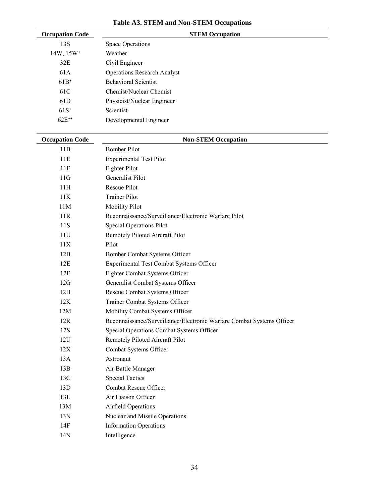| <b>Occupation Code</b> | <b>STEM Occupation</b>                                                |
|------------------------|-----------------------------------------------------------------------|
| 13S                    | Space Operations                                                      |
| 14W, 15W <sup>+</sup>  | Weather                                                               |
| 32E                    | Civil Engineer                                                        |
| 61A                    | <b>Operations Research Analyst</b>                                    |
| $61B+$                 | <b>Behavioral Scientist</b>                                           |
| 61C                    | Chemist/Nuclear Chemist                                               |
| 61D                    | Physicist/Nuclear Engineer                                            |
| $61S+$                 | Scientist                                                             |
| 62E <sup>++</sup>      | Developmental Engineer                                                |
| <b>Occupation Code</b> | <b>Non-STEM Occupation</b>                                            |
| 11B                    | <b>Bomber Pilot</b>                                                   |
| 11E                    | <b>Experimental Test Pilot</b>                                        |
| 11F                    | Fighter Pilot                                                         |
| 11G                    | <b>Generalist Pilot</b>                                               |
| 11H                    | Rescue Pilot                                                          |
| 11K                    | <b>Trainer Pilot</b>                                                  |
| 11M                    | <b>Mobility Pilot</b>                                                 |
| 11R                    | Reconnaissance/Surveillance/Electronic Warfare Pilot                  |
| 11S                    | Special Operations Pilot                                              |
| 11U                    | Remotely Piloted Aircraft Pilot                                       |
| 11X                    | Pilot                                                                 |
| 12B                    | Bomber Combat Systems Officer                                         |
| 12E                    | Experimental Test Combat Systems Officer                              |
| 12F                    | Fighter Combat Systems Officer                                        |
| 12G                    | Generalist Combat Systems Officer                                     |
| 12H                    | Rescue Combat Systems Officer                                         |
| 12K                    | Trainer Combat Systems Officer                                        |
| 12M                    | Mobility Combat Systems Officer                                       |
| 12R                    | Reconnaissance/Surveillance/Electronic Warfare Combat Systems Officer |
| 12S                    | Special Operations Combat Systems Officer                             |
| 12U                    | Remotely Piloted Aircraft Pilot                                       |
| 12X                    | Combat Systems Officer                                                |
| 13A                    | Astronaut                                                             |
| 13B                    | Air Battle Manager                                                    |
| 13C                    | <b>Special Tactics</b>                                                |
| 13D                    | Combat Rescue Officer                                                 |
| 13L                    | Air Liaison Officer                                                   |
| 13M                    | Airfield Operations                                                   |
| 13N                    | Nuclear and Missile Operations                                        |
| 14F                    | <b>Information Operations</b>                                         |
| 14N                    | Intelligence                                                          |

# **Table A3. STEM and Non-STEM Occupations**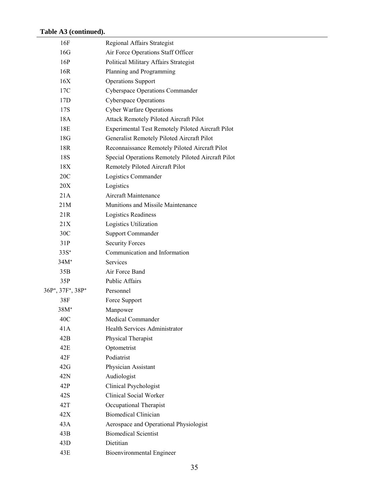| 16F                                                    | Regional Affairs Strategist                        |
|--------------------------------------------------------|----------------------------------------------------|
| 16G                                                    | Air Force Operations Staff Officer                 |
| 16P                                                    | Political Military Affairs Strategist              |
| 16R                                                    | Planning and Programming                           |
| 16X                                                    | <b>Operations Support</b>                          |
| 17C                                                    | Cyberspace Operations Commander                    |
| 17D                                                    | <b>Cyberspace Operations</b>                       |
| 17S                                                    | <b>Cyber Warfare Operations</b>                    |
| 18A                                                    | Attack Remotely Piloted Aircraft Pilot             |
| 18E                                                    | Experimental Test Remotely Piloted Aircraft Pilot  |
| 18G                                                    | Generalist Remotely Piloted Aircraft Pilot         |
| 18R                                                    | Reconnaissance Remotely Piloted Aircraft Pilot     |
| 18S                                                    | Special Operations Remotely Piloted Aircraft Pilot |
| 18X                                                    | Remotely Piloted Aircraft Pilot                    |
| 20 <sup>C</sup>                                        | Logistics Commander                                |
| 20X                                                    | Logistics                                          |
| 21A                                                    | Aircraft Maintenance                               |
| 21M                                                    | Munitions and Missile Maintenance                  |
| 21R                                                    | Logistics Readiness                                |
| 21X                                                    | Logistics Utilization                              |
| 30 <sup>C</sup>                                        | Support Commander                                  |
| 31P                                                    | <b>Security Forces</b>                             |
| $33S^+$                                                | Communication and Information                      |
| $34M+$                                                 | <b>Services</b>                                    |
| 35B                                                    | Air Force Band                                     |
| 35P                                                    | Public Affairs                                     |
| 36P <sup>+</sup> , 37F <sup>+</sup> , 38P <sup>+</sup> | Personnel                                          |
| 38F                                                    | Force Support                                      |
| $38M+$                                                 | Manpower                                           |
| 40C                                                    | Medical Commander                                  |
| 41A                                                    | Health Services Administrator                      |
| 42B                                                    | Physical Therapist                                 |
| 42E                                                    | Optometrist                                        |
| 42F                                                    | Podiatrist                                         |
| 42G                                                    | Physician Assistant                                |
| 42N                                                    | Audiologist                                        |
| 42P                                                    | Clinical Psychologist                              |
| 42S                                                    | <b>Clinical Social Worker</b>                      |
| 42T                                                    | Occupational Therapist                             |
| 42X                                                    | <b>Biomedical Clinician</b>                        |
| 43A                                                    | Aerospace and Operational Physiologist             |
| 43B                                                    | <b>Biomedical Scientist</b>                        |
| 43D                                                    | <b>Dietitian</b>                                   |
| 43E                                                    | <b>Bioenvironmental Engineer</b>                   |
|                                                        |                                                    |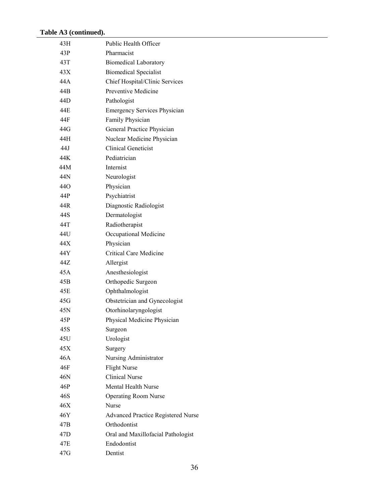| 43H             | Public Health Officer                     |
|-----------------|-------------------------------------------|
| 43P             | Pharmacist                                |
| 43T             | <b>Biomedical Laboratory</b>              |
| 43X             | <b>Biomedical Specialist</b>              |
| 44 A            | Chief Hospital/Clinic Services            |
| 44B             | Preventive Medicine                       |
| 44D             | Pathologist                               |
| 44E             | <b>Emergency Services Physician</b>       |
| 44F             | Family Physician                          |
| 44G             | General Practice Physician                |
| 44H             | Nuclear Medicine Physician                |
| 44.J            | <b>Clinical Geneticist</b>                |
| 44K             | Pediatrician                              |
| 44M             | Internist                                 |
| 44N             | Neurologist                               |
| 44O             | Physician                                 |
| 44P             | Psychiatrist                              |
| 44R             | Diagnostic Radiologist                    |
| 44S             | Dermatologist                             |
| 44T             | Radiotherapist                            |
| 44U             | Occupational Medicine                     |
| 44 X            | Physician                                 |
| 44Y             | <b>Critical Care Medicine</b>             |
| 44Z             | Allergist                                 |
| 45A             | Anesthesiologist                          |
| 45B             | Orthopedic Surgeon                        |
| 45E             | Ophthalmologist                           |
| 45G             | Obstetrician and Gynecologist             |
| 45N             | Otorhinolaryngologist                     |
| 45P             | Physical Medicine Physician               |
| 45S             | Surgeon                                   |
| 45U             | Urologist                                 |
| 45X             | Surgery                                   |
| 46A             | Nursing Administrator                     |
| 46F             | <b>Flight Nurse</b>                       |
| 46N             | <b>Clinical Nurse</b>                     |
| 46P             | Mental Health Nurse                       |
| 46S             | <b>Operating Room Nurse</b>               |
| 46X             | Nurse                                     |
| 46Y             | <b>Advanced Practice Registered Nurse</b> |
| 47B             | Orthodontist                              |
| 47 <sub>D</sub> | Oral and Maxillofacial Pathologist        |
| 47E             | Endodontist                               |
| 47G             | Dentist                                   |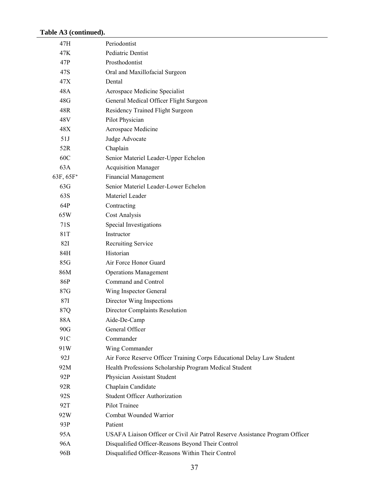| 47H                   | Periodontist                                                                 |
|-----------------------|------------------------------------------------------------------------------|
| 47K                   | Pediatric Dentist                                                            |
| 47P                   | Prosthodontist                                                               |
| 47S                   | Oral and Maxillofacial Surgeon                                               |
| 47X                   | Dental                                                                       |
| 48A                   | Aerospace Medicine Specialist                                                |
| 48G                   | General Medical Officer Flight Surgeon                                       |
| 48R                   | Residency Trained Flight Surgeon                                             |
| 48V                   | Pilot Physician                                                              |
| 48X                   | Aerospace Medicine                                                           |
| 51J                   | Judge Advocate                                                               |
| 52R                   | Chaplain                                                                     |
| 60C                   | Senior Materiel Leader-Upper Echelon                                         |
| 63A                   | <b>Acquisition Manager</b>                                                   |
| 63F, 65F <sup>+</sup> | <b>Financial Management</b>                                                  |
| 63G                   | Senior Materiel Leader-Lower Echelon                                         |
| 63S                   | Materiel Leader                                                              |
| 64P                   | Contracting                                                                  |
| 65W                   | Cost Analysis                                                                |
| 71S                   | Special Investigations                                                       |
| 81T                   | Instructor                                                                   |
| 82I                   | Recruiting Service                                                           |
| 84H                   | Historian                                                                    |
| 85G                   | Air Force Honor Guard                                                        |
| 86M                   | <b>Operations Management</b>                                                 |
| 86P                   | Command and Control                                                          |
| 87G                   | Wing Inspector General                                                       |
| 87I                   | Director Wing Inspections                                                    |
| 87Q                   | <b>Director Complaints Resolution</b>                                        |
| 88A                   | Aide-De-Camp                                                                 |
| 90G                   | General Officer                                                              |
| 91C                   | Commander                                                                    |
| 91W                   | Wing Commander                                                               |
| 92J                   | Air Force Reserve Officer Training Corps Educational Delay Law Student       |
| 92M                   | Health Professions Scholarship Program Medical Student                       |
| 92P                   | Physician Assistant Student                                                  |
| 92R                   | Chaplain Candidate                                                           |
| 92S                   | <b>Student Officer Authorization</b>                                         |
| 92T                   | Pilot Trainee                                                                |
| 92W                   | Combat Wounded Warrior                                                       |
| 93P                   | Patient                                                                      |
| 95A                   | USAFA Liaison Officer or Civil Air Patrol Reserve Assistance Program Officer |
| 96A                   | Disqualified Officer-Reasons Beyond Their Control                            |
| 96B                   | Disqualified Officer-Reasons Within Their Control                            |